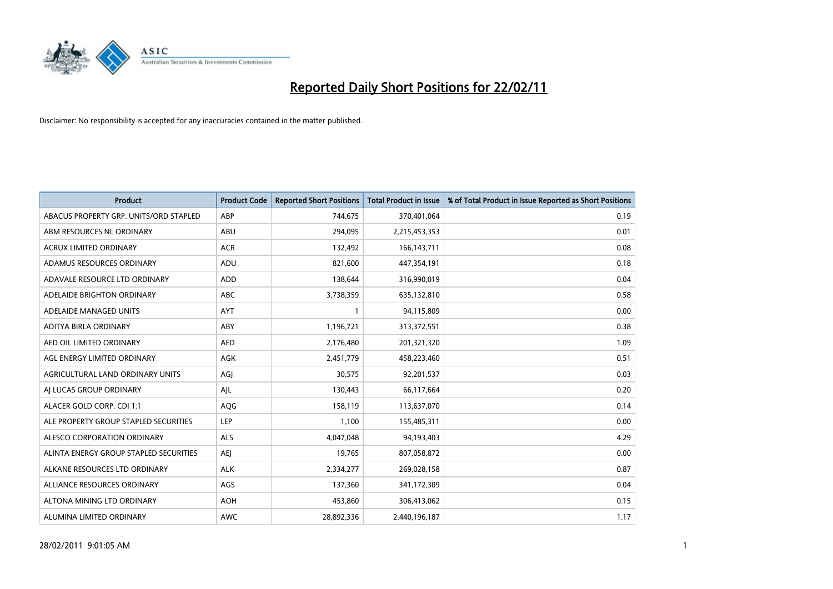

| <b>Product</b>                         | <b>Product Code</b> | <b>Reported Short Positions</b> | <b>Total Product in Issue</b> | % of Total Product in Issue Reported as Short Positions |
|----------------------------------------|---------------------|---------------------------------|-------------------------------|---------------------------------------------------------|
| ABACUS PROPERTY GRP. UNITS/ORD STAPLED | ABP                 | 744,675                         | 370,401,064                   | 0.19                                                    |
| ABM RESOURCES NL ORDINARY              | <b>ABU</b>          | 294,095                         | 2,215,453,353                 | 0.01                                                    |
| <b>ACRUX LIMITED ORDINARY</b>          | <b>ACR</b>          | 132,492                         | 166, 143, 711                 | 0.08                                                    |
| ADAMUS RESOURCES ORDINARY              | ADU                 | 821,600                         | 447,354,191                   | 0.18                                                    |
| ADAVALE RESOURCE LTD ORDINARY          | <b>ADD</b>          | 138.644                         | 316,990,019                   | 0.04                                                    |
| ADELAIDE BRIGHTON ORDINARY             | <b>ABC</b>          | 3,738,359                       | 635,132,810                   | 0.58                                                    |
| ADELAIDE MANAGED UNITS                 | <b>AYT</b>          |                                 | 94,115,809                    | 0.00                                                    |
| ADITYA BIRLA ORDINARY                  | ABY                 | 1,196,721                       | 313,372,551                   | 0.38                                                    |
| AED OIL LIMITED ORDINARY               | <b>AED</b>          | 2,176,480                       | 201,321,320                   | 1.09                                                    |
| AGL ENERGY LIMITED ORDINARY            | <b>AGK</b>          | 2,451,779                       | 458,223,460                   | 0.51                                                    |
| AGRICULTURAL LAND ORDINARY UNITS       | AGJ                 | 30,575                          | 92,201,537                    | 0.03                                                    |
| AI LUCAS GROUP ORDINARY                | AJL                 | 130,443                         | 66,117,664                    | 0.20                                                    |
| ALACER GOLD CORP. CDI 1:1              | AQG                 | 158,119                         | 113,637,070                   | 0.14                                                    |
| ALE PROPERTY GROUP STAPLED SECURITIES  | LEP                 | 1,100                           | 155,485,311                   | 0.00                                                    |
| ALESCO CORPORATION ORDINARY            | <b>ALS</b>          | 4,047,048                       | 94,193,403                    | 4.29                                                    |
| ALINTA ENERGY GROUP STAPLED SECURITIES | <b>AEI</b>          | 19,765                          | 807,058,872                   | 0.00                                                    |
| ALKANE RESOURCES LTD ORDINARY          | <b>ALK</b>          | 2,334,277                       | 269,028,158                   | 0.87                                                    |
| ALLIANCE RESOURCES ORDINARY            | AGS                 | 137,360                         | 341,172,309                   | 0.04                                                    |
| ALTONA MINING LTD ORDINARY             | <b>AOH</b>          | 453,860                         | 306,413,062                   | 0.15                                                    |
| ALUMINA LIMITED ORDINARY               | <b>AWC</b>          | 28,892,336                      | 2,440,196,187                 | 1.17                                                    |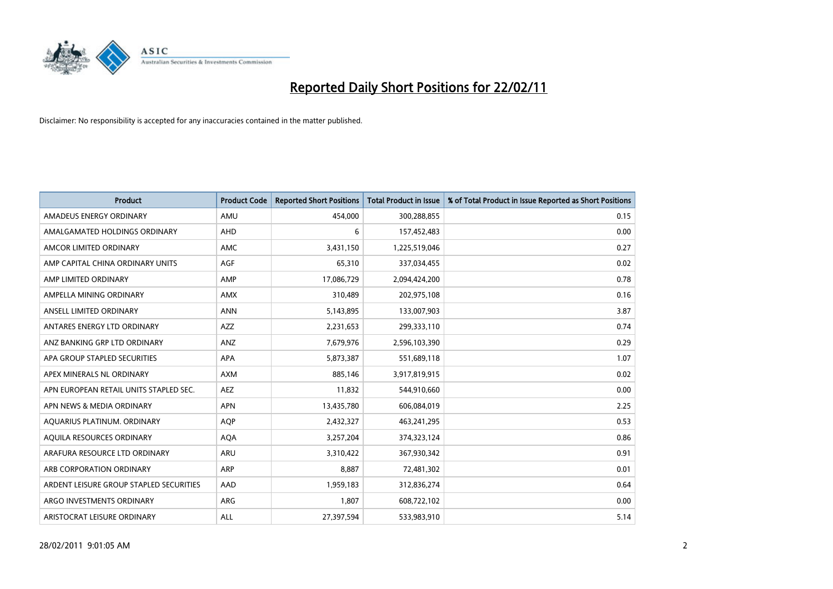

| Product                                 | <b>Product Code</b> | <b>Reported Short Positions</b> | Total Product in Issue | % of Total Product in Issue Reported as Short Positions |
|-----------------------------------------|---------------------|---------------------------------|------------------------|---------------------------------------------------------|
| AMADEUS ENERGY ORDINARY                 | AMU                 | 454,000                         | 300,288,855            | 0.15                                                    |
| AMALGAMATED HOLDINGS ORDINARY           | <b>AHD</b>          | 6                               | 157,452,483            | 0.00                                                    |
| AMCOR LIMITED ORDINARY                  | AMC                 | 3,431,150                       | 1,225,519,046          | 0.27                                                    |
| AMP CAPITAL CHINA ORDINARY UNITS        | AGF                 | 65,310                          | 337,034,455            | 0.02                                                    |
| AMP LIMITED ORDINARY                    | AMP                 | 17,086,729                      | 2,094,424,200          | 0.78                                                    |
| AMPELLA MINING ORDINARY                 | <b>AMX</b>          | 310,489                         | 202,975,108            | 0.16                                                    |
| ANSELL LIMITED ORDINARY                 | <b>ANN</b>          | 5,143,895                       | 133,007,903            | 3.87                                                    |
| ANTARES ENERGY LTD ORDINARY             | <b>AZZ</b>          | 2,231,653                       | 299,333,110            | 0.74                                                    |
| ANZ BANKING GRP LTD ORDINARY            | ANZ                 | 7,679,976                       | 2,596,103,390          | 0.29                                                    |
| APA GROUP STAPLED SECURITIES            | <b>APA</b>          | 5,873,387                       | 551,689,118            | 1.07                                                    |
| APEX MINERALS NL ORDINARY               | <b>AXM</b>          | 885,146                         | 3,917,819,915          | 0.02                                                    |
| APN EUROPEAN RETAIL UNITS STAPLED SEC.  | AEZ                 | 11,832                          | 544,910,660            | 0.00                                                    |
| APN NEWS & MEDIA ORDINARY               | <b>APN</b>          | 13,435,780                      | 606,084,019            | 2.25                                                    |
| AQUARIUS PLATINUM. ORDINARY             | <b>AOP</b>          | 2,432,327                       | 463,241,295            | 0.53                                                    |
| AQUILA RESOURCES ORDINARY               | <b>AQA</b>          | 3,257,204                       | 374,323,124            | 0.86                                                    |
| ARAFURA RESOURCE LTD ORDINARY           | <b>ARU</b>          | 3,310,422                       | 367,930,342            | 0.91                                                    |
| ARB CORPORATION ORDINARY                | ARP                 | 8,887                           | 72,481,302             | 0.01                                                    |
| ARDENT LEISURE GROUP STAPLED SECURITIES | AAD                 | 1,959,183                       | 312,836,274            | 0.64                                                    |
| ARGO INVESTMENTS ORDINARY               | ARG                 | 1,807                           | 608,722,102            | 0.00                                                    |
| ARISTOCRAT LEISURE ORDINARY             | <b>ALL</b>          | 27,397,594                      | 533,983,910            | 5.14                                                    |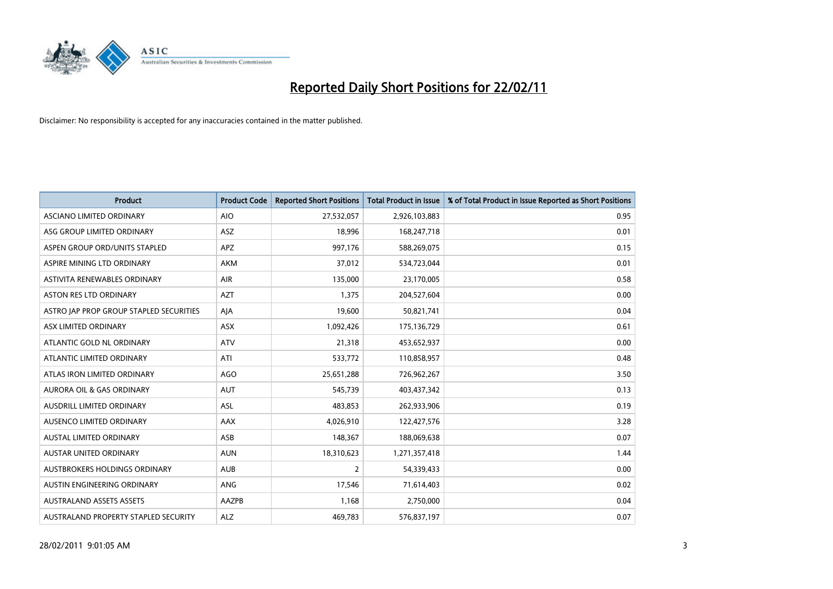

| Product                                 | <b>Product Code</b> | <b>Reported Short Positions</b> | Total Product in Issue | % of Total Product in Issue Reported as Short Positions |
|-----------------------------------------|---------------------|---------------------------------|------------------------|---------------------------------------------------------|
| ASCIANO LIMITED ORDINARY                | <b>AIO</b>          | 27,532,057                      | 2,926,103,883          | 0.95                                                    |
| ASG GROUP LIMITED ORDINARY              | ASZ                 | 18,996                          | 168,247,718            | 0.01                                                    |
| ASPEN GROUP ORD/UNITS STAPLED           | <b>APZ</b>          | 997,176                         | 588,269,075            | 0.15                                                    |
| ASPIRE MINING LTD ORDINARY              | <b>AKM</b>          | 37,012                          | 534,723,044            | 0.01                                                    |
| ASTIVITA RENEWABLES ORDINARY            | AIR                 | 135,000                         | 23,170,005             | 0.58                                                    |
| <b>ASTON RES LTD ORDINARY</b>           | <b>AZT</b>          | 1,375                           | 204,527,604            | 0.00                                                    |
| ASTRO JAP PROP GROUP STAPLED SECURITIES | AJA                 | 19,600                          | 50,821,741             | 0.04                                                    |
| ASX LIMITED ORDINARY                    | ASX                 | 1,092,426                       | 175,136,729            | 0.61                                                    |
| ATLANTIC GOLD NL ORDINARY               | <b>ATV</b>          | 21,318                          | 453,652,937            | 0.00                                                    |
| ATLANTIC LIMITED ORDINARY               | ATI                 | 533,772                         | 110,858,957            | 0.48                                                    |
| ATLAS IRON LIMITED ORDINARY             | AGO                 | 25,651,288                      | 726,962,267            | 3.50                                                    |
| AURORA OIL & GAS ORDINARY               | <b>AUT</b>          | 545,739                         | 403,437,342            | 0.13                                                    |
| AUSDRILL LIMITED ORDINARY               | ASL                 | 483,853                         | 262,933,906            | 0.19                                                    |
| AUSENCO LIMITED ORDINARY                | AAX                 | 4,026,910                       | 122,427,576            | 3.28                                                    |
| <b>AUSTAL LIMITED ORDINARY</b>          | ASB                 | 148,367                         | 188,069,638            | 0.07                                                    |
| <b>AUSTAR UNITED ORDINARY</b>           | <b>AUN</b>          | 18,310,623                      | 1,271,357,418          | 1.44                                                    |
| AUSTBROKERS HOLDINGS ORDINARY           | <b>AUB</b>          | 2                               | 54,339,433             | 0.00                                                    |
| AUSTIN ENGINEERING ORDINARY             | ANG                 | 17,546                          | 71,614,403             | 0.02                                                    |
| <b>AUSTRALAND ASSETS ASSETS</b>         | AAZPB               | 1,168                           | 2,750,000              | 0.04                                                    |
| AUSTRALAND PROPERTY STAPLED SECURITY    | <b>ALZ</b>          | 469,783                         | 576,837,197            | 0.07                                                    |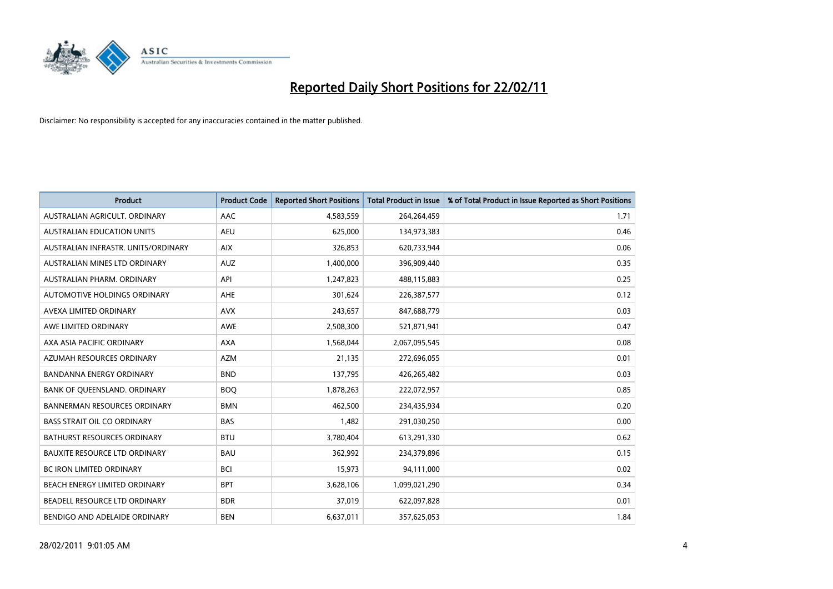

| Product                              | <b>Product Code</b> | <b>Reported Short Positions</b> | <b>Total Product in Issue</b> | % of Total Product in Issue Reported as Short Positions |
|--------------------------------------|---------------------|---------------------------------|-------------------------------|---------------------------------------------------------|
| AUSTRALIAN AGRICULT, ORDINARY        | AAC                 | 4,583,559                       | 264,264,459                   | 1.71                                                    |
| AUSTRALIAN EDUCATION UNITS           | <b>AEU</b>          | 625,000                         | 134,973,383                   | 0.46                                                    |
| AUSTRALIAN INFRASTR, UNITS/ORDINARY  | <b>AIX</b>          | 326,853                         | 620,733,944                   | 0.06                                                    |
| AUSTRALIAN MINES LTD ORDINARY        | <b>AUZ</b>          | 1,400,000                       | 396,909,440                   | 0.35                                                    |
| AUSTRALIAN PHARM, ORDINARY           | API                 | 1,247,823                       | 488,115,883                   | 0.25                                                    |
| AUTOMOTIVE HOLDINGS ORDINARY         | <b>AHE</b>          | 301,624                         | 226,387,577                   | 0.12                                                    |
| AVEXA LIMITED ORDINARY               | <b>AVX</b>          | 243,657                         | 847,688,779                   | 0.03                                                    |
| AWE LIMITED ORDINARY                 | <b>AWE</b>          | 2,508,300                       | 521,871,941                   | 0.47                                                    |
| AXA ASIA PACIFIC ORDINARY            | <b>AXA</b>          | 1,568,044                       | 2,067,095,545                 | 0.08                                                    |
| AZUMAH RESOURCES ORDINARY            | <b>AZM</b>          | 21,135                          | 272,696,055                   | 0.01                                                    |
| <b>BANDANNA ENERGY ORDINARY</b>      | <b>BND</b>          | 137,795                         | 426,265,482                   | 0.03                                                    |
| BANK OF QUEENSLAND. ORDINARY         | <b>BOQ</b>          | 1,878,263                       | 222,072,957                   | 0.85                                                    |
| <b>BANNERMAN RESOURCES ORDINARY</b>  | <b>BMN</b>          | 462,500                         | 234,435,934                   | 0.20                                                    |
| <b>BASS STRAIT OIL CO ORDINARY</b>   | <b>BAS</b>          | 1,482                           | 291,030,250                   | 0.00                                                    |
| <b>BATHURST RESOURCES ORDINARY</b>   | <b>BTU</b>          | 3,780,404                       | 613,291,330                   | 0.62                                                    |
| <b>BAUXITE RESOURCE LTD ORDINARY</b> | <b>BAU</b>          | 362,992                         | 234,379,896                   | 0.15                                                    |
| <b>BC IRON LIMITED ORDINARY</b>      | <b>BCI</b>          | 15,973                          | 94,111,000                    | 0.02                                                    |
| BEACH ENERGY LIMITED ORDINARY        | <b>BPT</b>          | 3,628,106                       | 1,099,021,290                 | 0.34                                                    |
| BEADELL RESOURCE LTD ORDINARY        | <b>BDR</b>          | 37,019                          | 622,097,828                   | 0.01                                                    |
| BENDIGO AND ADELAIDE ORDINARY        | <b>BEN</b>          | 6,637,011                       | 357,625,053                   | 1.84                                                    |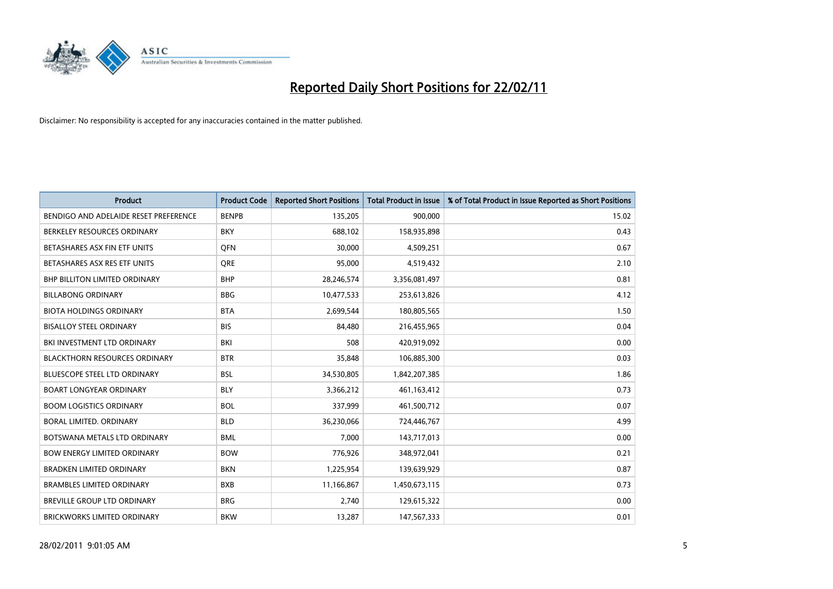

| <b>Product</b>                        | <b>Product Code</b> | <b>Reported Short Positions</b> | <b>Total Product in Issue</b> | % of Total Product in Issue Reported as Short Positions |
|---------------------------------------|---------------------|---------------------------------|-------------------------------|---------------------------------------------------------|
| BENDIGO AND ADELAIDE RESET PREFERENCE | <b>BENPB</b>        | 135,205                         | 900,000                       | 15.02                                                   |
| BERKELEY RESOURCES ORDINARY           | <b>BKY</b>          | 688,102                         | 158,935,898                   | 0.43                                                    |
| BETASHARES ASX FIN ETF UNITS          | <b>OFN</b>          | 30,000                          | 4,509,251                     | 0.67                                                    |
| BETASHARES ASX RES ETF UNITS          | <b>ORE</b>          | 95,000                          | 4,519,432                     | 2.10                                                    |
| <b>BHP BILLITON LIMITED ORDINARY</b>  | <b>BHP</b>          | 28,246,574                      | 3,356,081,497                 | 0.81                                                    |
| <b>BILLABONG ORDINARY</b>             | <b>BBG</b>          | 10,477,533                      | 253,613,826                   | 4.12                                                    |
| <b>BIOTA HOLDINGS ORDINARY</b>        | <b>BTA</b>          | 2,699,544                       | 180,805,565                   | 1.50                                                    |
| <b>BISALLOY STEEL ORDINARY</b>        | <b>BIS</b>          | 84,480                          | 216,455,965                   | 0.04                                                    |
| BKI INVESTMENT LTD ORDINARY           | <b>BKI</b>          | 508                             | 420,919,092                   | 0.00                                                    |
| <b>BLACKTHORN RESOURCES ORDINARY</b>  | <b>BTR</b>          | 35,848                          | 106,885,300                   | 0.03                                                    |
| <b>BLUESCOPE STEEL LTD ORDINARY</b>   | <b>BSL</b>          | 34,530,805                      | 1,842,207,385                 | 1.86                                                    |
| <b>BOART LONGYEAR ORDINARY</b>        | <b>BLY</b>          | 3,366,212                       | 461,163,412                   | 0.73                                                    |
| <b>BOOM LOGISTICS ORDINARY</b>        | <b>BOL</b>          | 337,999                         | 461,500,712                   | 0.07                                                    |
| BORAL LIMITED, ORDINARY               | <b>BLD</b>          | 36,230,066                      | 724,446,767                   | 4.99                                                    |
| BOTSWANA METALS LTD ORDINARY          | <b>BML</b>          | 7,000                           | 143,717,013                   | 0.00                                                    |
| <b>BOW ENERGY LIMITED ORDINARY</b>    | <b>BOW</b>          | 776,926                         | 348,972,041                   | 0.21                                                    |
| <b>BRADKEN LIMITED ORDINARY</b>       | <b>BKN</b>          | 1,225,954                       | 139,639,929                   | 0.87                                                    |
| <b>BRAMBLES LIMITED ORDINARY</b>      | <b>BXB</b>          | 11,166,867                      | 1,450,673,115                 | 0.73                                                    |
| <b>BREVILLE GROUP LTD ORDINARY</b>    | <b>BRG</b>          | 2,740                           | 129,615,322                   | 0.00                                                    |
| <b>BRICKWORKS LIMITED ORDINARY</b>    | <b>BKW</b>          | 13,287                          | 147,567,333                   | 0.01                                                    |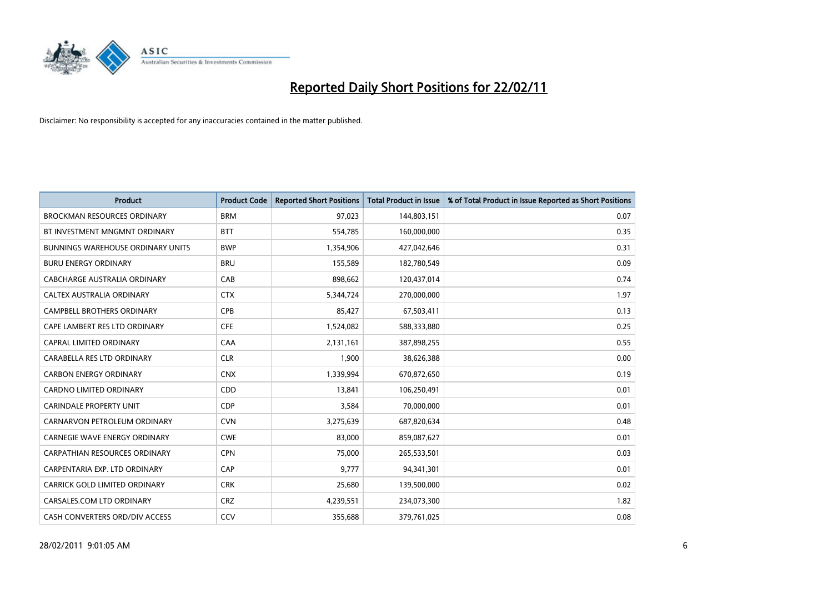

| <b>Product</b>                           | <b>Product Code</b> | <b>Reported Short Positions</b> | <b>Total Product in Issue</b> | % of Total Product in Issue Reported as Short Positions |
|------------------------------------------|---------------------|---------------------------------|-------------------------------|---------------------------------------------------------|
| <b>BROCKMAN RESOURCES ORDINARY</b>       | <b>BRM</b>          | 97,023                          | 144,803,151                   | 0.07                                                    |
| BT INVESTMENT MNGMNT ORDINARY            | <b>BTT</b>          | 554,785                         | 160,000,000                   | 0.35                                                    |
| <b>BUNNINGS WAREHOUSE ORDINARY UNITS</b> | <b>BWP</b>          | 1,354,906                       | 427,042,646                   | 0.31                                                    |
| <b>BURU ENERGY ORDINARY</b>              | <b>BRU</b>          | 155,589                         | 182,780,549                   | 0.09                                                    |
| CABCHARGE AUSTRALIA ORDINARY             | CAB                 | 898.662                         | 120,437,014                   | 0.74                                                    |
| CALTEX AUSTRALIA ORDINARY                | <b>CTX</b>          | 5,344,724                       | 270,000,000                   | 1.97                                                    |
| <b>CAMPBELL BROTHERS ORDINARY</b>        | <b>CPB</b>          | 85,427                          | 67,503,411                    | 0.13                                                    |
| CAPE LAMBERT RES LTD ORDINARY            | <b>CFE</b>          | 1,524,082                       | 588,333,880                   | 0.25                                                    |
| CAPRAL LIMITED ORDINARY                  | CAA                 | 2,131,161                       | 387,898,255                   | 0.55                                                    |
| CARABELLA RES LTD ORDINARY               | <b>CLR</b>          | 1.900                           | 38,626,388                    | 0.00                                                    |
| <b>CARBON ENERGY ORDINARY</b>            | <b>CNX</b>          | 1,339,994                       | 670,872,650                   | 0.19                                                    |
| <b>CARDNO LIMITED ORDINARY</b>           | CDD                 | 13,841                          | 106,250,491                   | 0.01                                                    |
| <b>CARINDALE PROPERTY UNIT</b>           | <b>CDP</b>          | 3,584                           | 70,000,000                    | 0.01                                                    |
| CARNARVON PETROLEUM ORDINARY             | <b>CVN</b>          | 3,275,639                       | 687,820,634                   | 0.48                                                    |
| <b>CARNEGIE WAVE ENERGY ORDINARY</b>     | <b>CWE</b>          | 83,000                          | 859,087,627                   | 0.01                                                    |
| <b>CARPATHIAN RESOURCES ORDINARY</b>     | <b>CPN</b>          | 75.000                          | 265,533,501                   | 0.03                                                    |
| CARPENTARIA EXP. LTD ORDINARY            | CAP                 | 9,777                           | 94,341,301                    | 0.01                                                    |
| CARRICK GOLD LIMITED ORDINARY            | <b>CRK</b>          | 25,680                          | 139,500,000                   | 0.02                                                    |
| CARSALES.COM LTD ORDINARY                | <b>CRZ</b>          | 4,239,551                       | 234,073,300                   | 1.82                                                    |
| <b>CASH CONVERTERS ORD/DIV ACCESS</b>    | CCV                 | 355,688                         | 379,761,025                   | 0.08                                                    |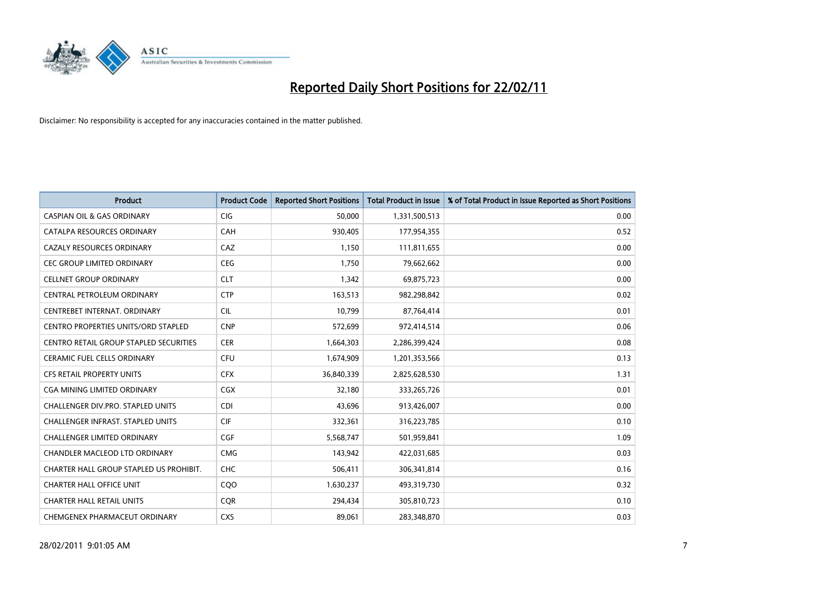

| <b>Product</b>                             | <b>Product Code</b> | <b>Reported Short Positions</b> | Total Product in Issue | % of Total Product in Issue Reported as Short Positions |
|--------------------------------------------|---------------------|---------------------------------|------------------------|---------------------------------------------------------|
| <b>CASPIAN OIL &amp; GAS ORDINARY</b>      | CIG                 | 50,000                          | 1,331,500,513          | 0.00                                                    |
| CATALPA RESOURCES ORDINARY                 | <b>CAH</b>          | 930,405                         | 177,954,355            | 0.52                                                    |
| <b>CAZALY RESOURCES ORDINARY</b>           | CAZ                 | 1,150                           | 111,811,655            | 0.00                                                    |
| <b>CEC GROUP LIMITED ORDINARY</b>          | <b>CEG</b>          | 1,750                           | 79,662,662             | 0.00                                                    |
| <b>CELLNET GROUP ORDINARY</b>              | <b>CLT</b>          | 1,342                           | 69,875,723             | 0.00                                                    |
| CENTRAL PETROLEUM ORDINARY                 | <b>CTP</b>          | 163,513                         | 982,298,842            | 0.02                                                    |
| CENTREBET INTERNAT, ORDINARY               | <b>CIL</b>          | 10,799                          | 87,764,414             | 0.01                                                    |
| <b>CENTRO PROPERTIES UNITS/ORD STAPLED</b> | <b>CNP</b>          | 572,699                         | 972,414,514            | 0.06                                                    |
| CENTRO RETAIL GROUP STAPLED SECURITIES     | <b>CER</b>          | 1,664,303                       | 2,286,399,424          | 0.08                                                    |
| <b>CERAMIC FUEL CELLS ORDINARY</b>         | <b>CFU</b>          | 1,674,909                       | 1,201,353,566          | 0.13                                                    |
| <b>CFS RETAIL PROPERTY UNITS</b>           | <b>CFX</b>          | 36,840,339                      | 2,825,628,530          | 1.31                                                    |
| <b>CGA MINING LIMITED ORDINARY</b>         | <b>CGX</b>          | 32,180                          | 333,265,726            | 0.01                                                    |
| <b>CHALLENGER DIV.PRO. STAPLED UNITS</b>   | <b>CDI</b>          | 43.696                          | 913,426,007            | 0.00                                                    |
| <b>CHALLENGER INFRAST, STAPLED UNITS</b>   | <b>CIF</b>          | 332,361                         | 316,223,785            | 0.10                                                    |
| <b>CHALLENGER LIMITED ORDINARY</b>         | <b>CGF</b>          | 5,568,747                       | 501,959,841            | 1.09                                                    |
| CHANDLER MACLEOD LTD ORDINARY              | <b>CMG</b>          | 143.942                         | 422,031,685            | 0.03                                                    |
| CHARTER HALL GROUP STAPLED US PROHIBIT.    | <b>CHC</b>          | 506,411                         | 306,341,814            | 0.16                                                    |
| <b>CHARTER HALL OFFICE UNIT</b>            | CQO                 | 1,630,237                       | 493,319,730            | 0.32                                                    |
| <b>CHARTER HALL RETAIL UNITS</b>           | <b>COR</b>          | 294,434                         | 305,810,723            | 0.10                                                    |
| CHEMGENEX PHARMACEUT ORDINARY              | <b>CXS</b>          | 89,061                          | 283,348,870            | 0.03                                                    |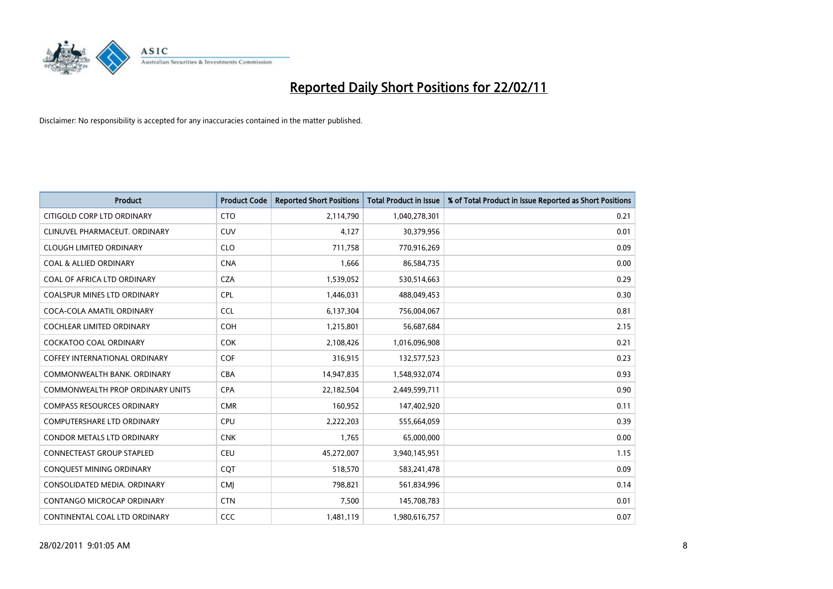

| <b>Product</b>                          | <b>Product Code</b> | <b>Reported Short Positions</b> | <b>Total Product in Issue</b> | % of Total Product in Issue Reported as Short Positions |
|-----------------------------------------|---------------------|---------------------------------|-------------------------------|---------------------------------------------------------|
| CITIGOLD CORP LTD ORDINARY              | <b>CTO</b>          | 2,114,790                       | 1,040,278,301                 | 0.21                                                    |
| CLINUVEL PHARMACEUT. ORDINARY           | <b>CUV</b>          | 4,127                           | 30,379,956                    | 0.01                                                    |
| <b>CLOUGH LIMITED ORDINARY</b>          | <b>CLO</b>          | 711,758                         | 770,916,269                   | 0.09                                                    |
| <b>COAL &amp; ALLIED ORDINARY</b>       | <b>CNA</b>          | 1,666                           | 86,584,735                    | 0.00                                                    |
| COAL OF AFRICA LTD ORDINARY             | <b>CZA</b>          | 1,539,052                       | 530,514,663                   | 0.29                                                    |
| <b>COALSPUR MINES LTD ORDINARY</b>      | CPL                 | 1,446,031                       | 488,049,453                   | 0.30                                                    |
| COCA-COLA AMATIL ORDINARY               | <b>CCL</b>          | 6,137,304                       | 756,004,067                   | 0.81                                                    |
| COCHLEAR LIMITED ORDINARY               | <b>COH</b>          | 1,215,801                       | 56,687,684                    | 2.15                                                    |
| COCKATOO COAL ORDINARY                  | <b>COK</b>          | 2,108,426                       | 1,016,096,908                 | 0.21                                                    |
| COFFEY INTERNATIONAL ORDINARY           | <b>COF</b>          | 316,915                         | 132,577,523                   | 0.23                                                    |
| COMMONWEALTH BANK, ORDINARY             | <b>CBA</b>          | 14,947,835                      | 1,548,932,074                 | 0.93                                                    |
| <b>COMMONWEALTH PROP ORDINARY UNITS</b> | <b>CPA</b>          | 22,182,504                      | 2,449,599,711                 | 0.90                                                    |
| <b>COMPASS RESOURCES ORDINARY</b>       | <b>CMR</b>          | 160,952                         | 147,402,920                   | 0.11                                                    |
| <b>COMPUTERSHARE LTD ORDINARY</b>       | <b>CPU</b>          | 2,222,203                       | 555,664,059                   | 0.39                                                    |
| <b>CONDOR METALS LTD ORDINARY</b>       | <b>CNK</b>          | 1,765                           | 65,000,000                    | 0.00                                                    |
| <b>CONNECTEAST GROUP STAPLED</b>        | <b>CEU</b>          | 45,272,007                      | 3,940,145,951                 | 1.15                                                    |
| CONQUEST MINING ORDINARY                | CQT                 | 518,570                         | 583,241,478                   | 0.09                                                    |
| CONSOLIDATED MEDIA, ORDINARY            | <b>CMJ</b>          | 798,821                         | 561,834,996                   | 0.14                                                    |
| CONTANGO MICROCAP ORDINARY              | <b>CTN</b>          | 7,500                           | 145,708,783                   | 0.01                                                    |
| CONTINENTAL COAL LTD ORDINARY           | CCC                 | 1,481,119                       | 1,980,616,757                 | 0.07                                                    |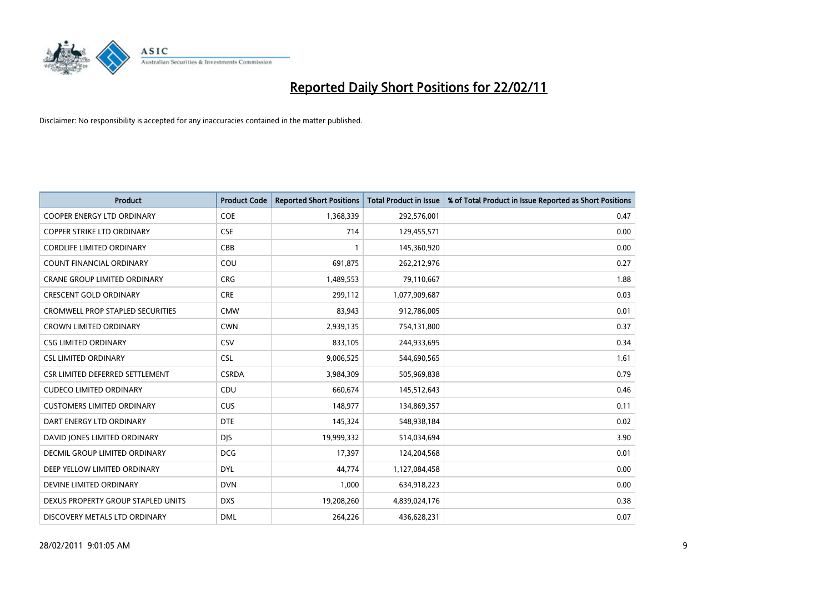

| <b>Product</b>                          | <b>Product Code</b> | <b>Reported Short Positions</b> | <b>Total Product in Issue</b> | % of Total Product in Issue Reported as Short Positions |
|-----------------------------------------|---------------------|---------------------------------|-------------------------------|---------------------------------------------------------|
| <b>COOPER ENERGY LTD ORDINARY</b>       | <b>COE</b>          | 1,368,339                       | 292,576,001                   | 0.47                                                    |
| <b>COPPER STRIKE LTD ORDINARY</b>       | <b>CSE</b>          | 714                             | 129,455,571                   | 0.00                                                    |
| <b>CORDLIFE LIMITED ORDINARY</b>        | CBB                 |                                 | 145,360,920                   | 0.00                                                    |
| COUNT FINANCIAL ORDINARY                | COU                 | 691,875                         | 262,212,976                   | 0.27                                                    |
| <b>CRANE GROUP LIMITED ORDINARY</b>     | <b>CRG</b>          | 1,489,553                       | 79,110,667                    | 1.88                                                    |
| <b>CRESCENT GOLD ORDINARY</b>           | <b>CRE</b>          | 299,112                         | 1,077,909,687                 | 0.03                                                    |
| <b>CROMWELL PROP STAPLED SECURITIES</b> | <b>CMW</b>          | 83.943                          | 912,786,005                   | 0.01                                                    |
| <b>CROWN LIMITED ORDINARY</b>           | <b>CWN</b>          | 2,939,135                       | 754,131,800                   | 0.37                                                    |
| <b>CSG LIMITED ORDINARY</b>             | CSV                 | 833,105                         | 244,933,695                   | 0.34                                                    |
| <b>CSL LIMITED ORDINARY</b>             | <b>CSL</b>          | 9,006,525                       | 544,690,565                   | 1.61                                                    |
| CSR LIMITED DEFERRED SETTLEMENT         | <b>CSRDA</b>        | 3,984,309                       | 505,969,838                   | 0.79                                                    |
| <b>CUDECO LIMITED ORDINARY</b>          | CDU                 | 660,674                         | 145,512,643                   | 0.46                                                    |
| <b>CUSTOMERS LIMITED ORDINARY</b>       | <b>CUS</b>          | 148,977                         | 134,869,357                   | 0.11                                                    |
| DART ENERGY LTD ORDINARY                | <b>DTE</b>          | 145,324                         | 548,938,184                   | 0.02                                                    |
| DAVID JONES LIMITED ORDINARY            | <b>DIS</b>          | 19,999,332                      | 514,034,694                   | 3.90                                                    |
| <b>DECMIL GROUP LIMITED ORDINARY</b>    | <b>DCG</b>          | 17,397                          | 124,204,568                   | 0.01                                                    |
| DEEP YELLOW LIMITED ORDINARY            | <b>DYL</b>          | 44,774                          | 1,127,084,458                 | 0.00                                                    |
| DEVINE LIMITED ORDINARY                 | <b>DVN</b>          | 1,000                           | 634,918,223                   | 0.00                                                    |
| DEXUS PROPERTY GROUP STAPLED UNITS      | <b>DXS</b>          | 19,208,260                      | 4,839,024,176                 | 0.38                                                    |
| DISCOVERY METALS LTD ORDINARY           | <b>DML</b>          | 264,226                         | 436,628,231                   | 0.07                                                    |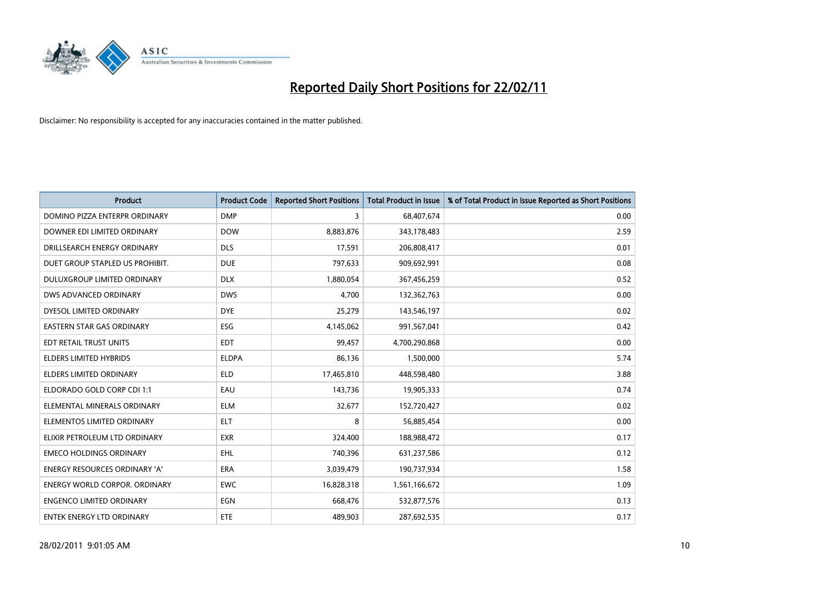

| <b>Product</b>                     | <b>Product Code</b> | <b>Reported Short Positions</b> | <b>Total Product in Issue</b> | % of Total Product in Issue Reported as Short Positions |
|------------------------------------|---------------------|---------------------------------|-------------------------------|---------------------------------------------------------|
| DOMINO PIZZA ENTERPR ORDINARY      | <b>DMP</b>          | 3                               | 68,407,674                    | 0.00                                                    |
| DOWNER EDI LIMITED ORDINARY        | <b>DOW</b>          | 8,883,876                       | 343,178,483                   | 2.59                                                    |
| DRILLSEARCH ENERGY ORDINARY        | <b>DLS</b>          | 17,591                          | 206,808,417                   | 0.01                                                    |
| DUET GROUP STAPLED US PROHIBIT.    | <b>DUE</b>          | 797,633                         | 909,692,991                   | 0.08                                                    |
| <b>DULUXGROUP LIMITED ORDINARY</b> | <b>DLX</b>          | 1,880,054                       | 367,456,259                   | 0.52                                                    |
| DWS ADVANCED ORDINARY              | <b>DWS</b>          | 4,700                           | 132,362,763                   | 0.00                                                    |
| DYESOL LIMITED ORDINARY            | <b>DYE</b>          | 25,279                          | 143,546,197                   | 0.02                                                    |
| <b>EASTERN STAR GAS ORDINARY</b>   | <b>ESG</b>          | 4,145,062                       | 991,567,041                   | 0.42                                                    |
| EDT RETAIL TRUST UNITS             | <b>EDT</b>          | 99,457                          | 4,700,290,868                 | 0.00                                                    |
| <b>ELDERS LIMITED HYBRIDS</b>      | <b>ELDPA</b>        | 86,136                          | 1,500,000                     | 5.74                                                    |
| ELDERS LIMITED ORDINARY            | <b>ELD</b>          | 17,465,810                      | 448,598,480                   | 3.88                                                    |
| ELDORADO GOLD CORP CDI 1:1         | EAU                 | 143,736                         | 19,905,333                    | 0.74                                                    |
| ELEMENTAL MINERALS ORDINARY        | <b>ELM</b>          | 32,677                          | 152,720,427                   | 0.02                                                    |
| ELEMENTOS LIMITED ORDINARY         | <b>ELT</b>          | 8                               | 56,885,454                    | 0.00                                                    |
| ELIXIR PETROLEUM LTD ORDINARY      | <b>EXR</b>          | 324,400                         | 188,988,472                   | 0.17                                                    |
| <b>EMECO HOLDINGS ORDINARY</b>     | <b>EHL</b>          | 740,396                         | 631,237,586                   | 0.12                                                    |
| ENERGY RESOURCES ORDINARY 'A'      | ERA                 | 3,039,479                       | 190,737,934                   | 1.58                                                    |
| ENERGY WORLD CORPOR. ORDINARY      | <b>EWC</b>          | 16,828,318                      | 1,561,166,672                 | 1.09                                                    |
| <b>ENGENCO LIMITED ORDINARY</b>    | EGN                 | 668,476                         | 532,877,576                   | 0.13                                                    |
| ENTEK ENERGY LTD ORDINARY          | <b>ETE</b>          | 489,903                         | 287,692,535                   | 0.17                                                    |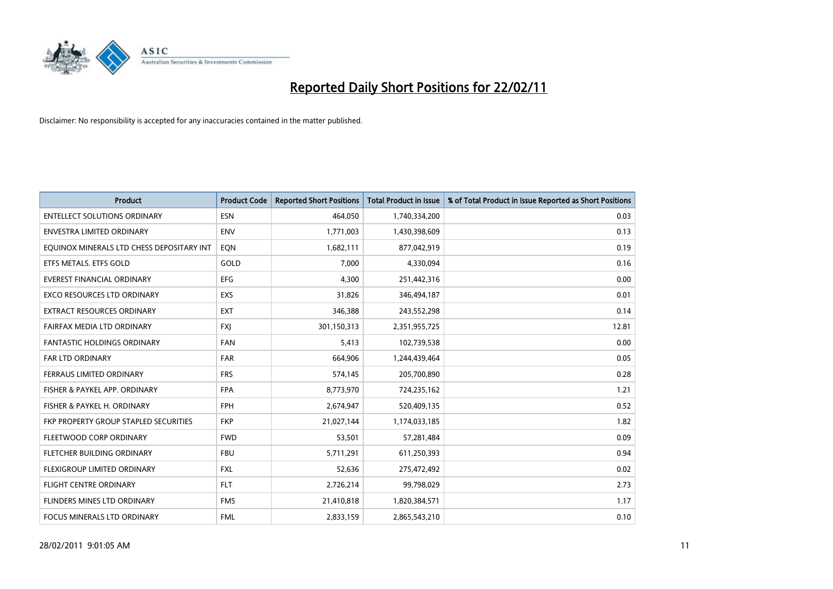

| <b>Product</b>                            | <b>Product Code</b> | <b>Reported Short Positions</b> | Total Product in Issue | % of Total Product in Issue Reported as Short Positions |
|-------------------------------------------|---------------------|---------------------------------|------------------------|---------------------------------------------------------|
| <b>ENTELLECT SOLUTIONS ORDINARY</b>       | <b>ESN</b>          | 464,050                         | 1,740,334,200          | 0.03                                                    |
| <b>ENVESTRA LIMITED ORDINARY</b>          | <b>ENV</b>          | 1,771,003                       | 1,430,398,609          | 0.13                                                    |
| EQUINOX MINERALS LTD CHESS DEPOSITARY INT | EON                 | 1,682,111                       | 877,042,919            | 0.19                                                    |
| ETFS METALS. ETFS GOLD                    | GOLD                | 7,000                           | 4,330,094              | 0.16                                                    |
| <b>EVEREST FINANCIAL ORDINARY</b>         | EFG                 | 4.300                           | 251,442,316            | 0.00                                                    |
| <b>EXCO RESOURCES LTD ORDINARY</b>        | EXS                 | 31,826                          | 346,494,187            | 0.01                                                    |
| <b>EXTRACT RESOURCES ORDINARY</b>         | <b>EXT</b>          | 346,388                         | 243,552,298            | 0.14                                                    |
| FAIRFAX MEDIA LTD ORDINARY                | <b>FXI</b>          | 301,150,313                     | 2,351,955,725          | 12.81                                                   |
| <b>FANTASTIC HOLDINGS ORDINARY</b>        | <b>FAN</b>          | 5,413                           | 102,739,538            | 0.00                                                    |
| <b>FAR LTD ORDINARY</b>                   | <b>FAR</b>          | 664.906                         | 1,244,439,464          | 0.05                                                    |
| FERRAUS LIMITED ORDINARY                  | <b>FRS</b>          | 574,145                         | 205,700,890            | 0.28                                                    |
| FISHER & PAYKEL APP. ORDINARY             | <b>FPA</b>          | 8,773,970                       | 724,235,162            | 1.21                                                    |
| FISHER & PAYKEL H. ORDINARY               | <b>FPH</b>          | 2,674,947                       | 520,409,135            | 0.52                                                    |
| FKP PROPERTY GROUP STAPLED SECURITIES     | <b>FKP</b>          | 21,027,144                      | 1,174,033,185          | 1.82                                                    |
| FLEETWOOD CORP ORDINARY                   | <b>FWD</b>          | 53,501                          | 57,281,484             | 0.09                                                    |
| FLETCHER BUILDING ORDINARY                | <b>FBU</b>          | 5,711,291                       | 611,250,393            | 0.94                                                    |
| FLEXIGROUP LIMITED ORDINARY               | <b>FXL</b>          | 52,636                          | 275,472,492            | 0.02                                                    |
| FLIGHT CENTRE ORDINARY                    | <b>FLT</b>          | 2,726,214                       | 99,798,029             | 2.73                                                    |
| FLINDERS MINES LTD ORDINARY               | <b>FMS</b>          | 21,410,818                      | 1,820,384,571          | 1.17                                                    |
| <b>FOCUS MINERALS LTD ORDINARY</b>        | <b>FML</b>          | 2.833.159                       | 2,865,543,210          | 0.10                                                    |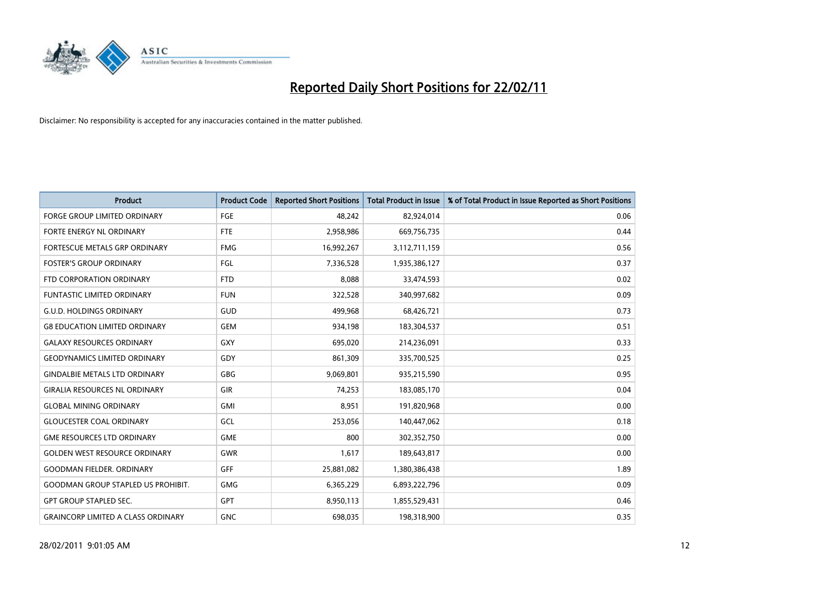

| Product                                   | <b>Product Code</b> | <b>Reported Short Positions</b> | Total Product in Issue | % of Total Product in Issue Reported as Short Positions |
|-------------------------------------------|---------------------|---------------------------------|------------------------|---------------------------------------------------------|
| <b>FORGE GROUP LIMITED ORDINARY</b>       | FGE                 | 48,242                          | 82,924,014             | 0.06                                                    |
| FORTE ENERGY NL ORDINARY                  | <b>FTE</b>          | 2,958,986                       | 669,756,735            | 0.44                                                    |
| <b>FORTESCUE METALS GRP ORDINARY</b>      | <b>FMG</b>          | 16,992,267                      | 3,112,711,159          | 0.56                                                    |
| <b>FOSTER'S GROUP ORDINARY</b>            | FGL                 | 7,336,528                       | 1,935,386,127          | 0.37                                                    |
| FTD CORPORATION ORDINARY                  | <b>FTD</b>          | 8,088                           | 33,474,593             | 0.02                                                    |
| <b>FUNTASTIC LIMITED ORDINARY</b>         | <b>FUN</b>          | 322,528                         | 340,997,682            | 0.09                                                    |
| <b>G.U.D. HOLDINGS ORDINARY</b>           | GUD                 | 499,968                         | 68,426,721             | 0.73                                                    |
| <b>G8 EDUCATION LIMITED ORDINARY</b>      | <b>GEM</b>          | 934,198                         | 183,304,537            | 0.51                                                    |
| <b>GALAXY RESOURCES ORDINARY</b>          | GXY                 | 695,020                         | 214,236,091            | 0.33                                                    |
| <b>GEODYNAMICS LIMITED ORDINARY</b>       | GDY                 | 861,309                         | 335,700,525            | 0.25                                                    |
| <b>GINDALBIE METALS LTD ORDINARY</b>      | <b>GBG</b>          | 9,069,801                       | 935,215,590            | 0.95                                                    |
| <b>GIRALIA RESOURCES NL ORDINARY</b>      | GIR                 | 74,253                          | 183,085,170            | 0.04                                                    |
| <b>GLOBAL MINING ORDINARY</b>             | <b>GMI</b>          | 8.951                           | 191,820,968            | 0.00                                                    |
| <b>GLOUCESTER COAL ORDINARY</b>           | GCL                 | 253,056                         | 140,447,062            | 0.18                                                    |
| <b>GME RESOURCES LTD ORDINARY</b>         | <b>GME</b>          | 800                             | 302,352,750            | 0.00                                                    |
| <b>GOLDEN WEST RESOURCE ORDINARY</b>      | <b>GWR</b>          | 1,617                           | 189,643,817            | 0.00                                                    |
| <b>GOODMAN FIELDER, ORDINARY</b>          | GFF                 | 25,881,082                      | 1,380,386,438          | 1.89                                                    |
| <b>GOODMAN GROUP STAPLED US PROHIBIT.</b> | <b>GMG</b>          | 6,365,229                       | 6,893,222,796          | 0.09                                                    |
| <b>GPT GROUP STAPLED SEC.</b>             | <b>GPT</b>          | 8,950,113                       | 1,855,529,431          | 0.46                                                    |
| <b>GRAINCORP LIMITED A CLASS ORDINARY</b> | <b>GNC</b>          | 698.035                         | 198,318,900            | 0.35                                                    |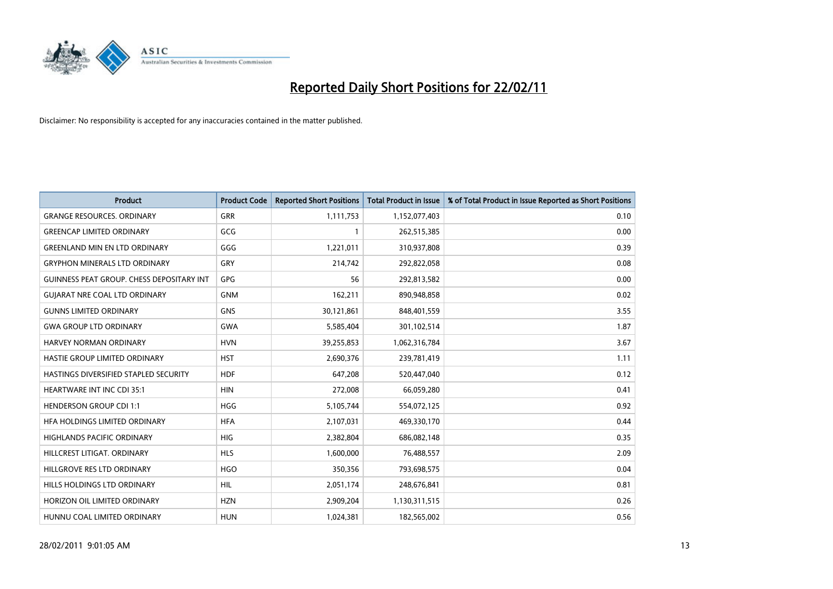

| <b>Product</b>                                   | <b>Product Code</b> | <b>Reported Short Positions</b> | Total Product in Issue | % of Total Product in Issue Reported as Short Positions |
|--------------------------------------------------|---------------------|---------------------------------|------------------------|---------------------------------------------------------|
| <b>GRANGE RESOURCES, ORDINARY</b>                | GRR                 | 1,111,753                       | 1,152,077,403          | 0.10                                                    |
| <b>GREENCAP LIMITED ORDINARY</b>                 | GCG                 |                                 | 262,515,385            | 0.00                                                    |
| <b>GREENLAND MIN EN LTD ORDINARY</b>             | GGG                 | 1,221,011                       | 310,937,808            | 0.39                                                    |
| <b>GRYPHON MINERALS LTD ORDINARY</b>             | GRY                 | 214,742                         | 292,822,058            | 0.08                                                    |
| <b>GUINNESS PEAT GROUP. CHESS DEPOSITARY INT</b> | <b>GPG</b>          | 56                              | 292,813,582            | 0.00                                                    |
| <b>GUIARAT NRE COAL LTD ORDINARY</b>             | <b>GNM</b>          | 162,211                         | 890,948,858            | 0.02                                                    |
| <b>GUNNS LIMITED ORDINARY</b>                    | <b>GNS</b>          | 30,121,861                      | 848,401,559            | 3.55                                                    |
| <b>GWA GROUP LTD ORDINARY</b>                    | <b>GWA</b>          | 5,585,404                       | 301,102,514            | 1.87                                                    |
| <b>HARVEY NORMAN ORDINARY</b>                    | <b>HVN</b>          | 39,255,853                      | 1,062,316,784          | 3.67                                                    |
| HASTIE GROUP LIMITED ORDINARY                    | <b>HST</b>          | 2,690,376                       | 239,781,419            | 1.11                                                    |
| HASTINGS DIVERSIFIED STAPLED SECURITY            | <b>HDF</b>          | 647,208                         | 520,447,040            | 0.12                                                    |
| <b>HEARTWARE INT INC CDI 35:1</b>                | <b>HIN</b>          | 272,008                         | 66,059,280             | 0.41                                                    |
| <b>HENDERSON GROUP CDI 1:1</b>                   | <b>HGG</b>          | 5,105,744                       | 554,072,125            | 0.92                                                    |
| HFA HOLDINGS LIMITED ORDINARY                    | <b>HFA</b>          | 2,107,031                       | 469,330,170            | 0.44                                                    |
| HIGHLANDS PACIFIC ORDINARY                       | <b>HIG</b>          | 2,382,804                       | 686,082,148            | 0.35                                                    |
| HILLCREST LITIGAT, ORDINARY                      | <b>HLS</b>          | 1,600,000                       | 76,488,557             | 2.09                                                    |
| HILLGROVE RES LTD ORDINARY                       | <b>HGO</b>          | 350,356                         | 793,698,575            | 0.04                                                    |
| HILLS HOLDINGS LTD ORDINARY                      | <b>HIL</b>          | 2,051,174                       | 248,676,841            | 0.81                                                    |
| HORIZON OIL LIMITED ORDINARY                     | <b>HZN</b>          | 2,909,204                       | 1,130,311,515          | 0.26                                                    |
| HUNNU COAL LIMITED ORDINARY                      | <b>HUN</b>          | 1,024,381                       | 182,565,002            | 0.56                                                    |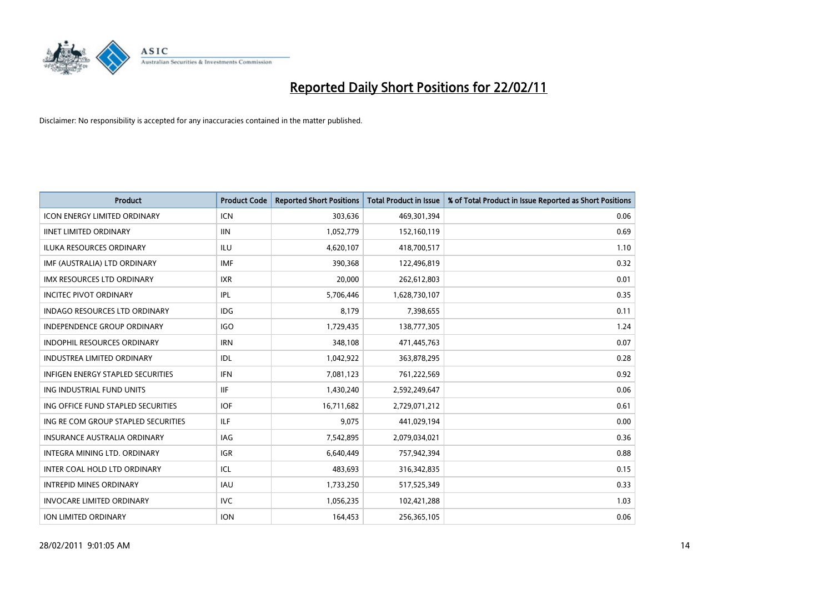

| <b>Product</b>                           | <b>Product Code</b> | <b>Reported Short Positions</b> | <b>Total Product in Issue</b> | % of Total Product in Issue Reported as Short Positions |
|------------------------------------------|---------------------|---------------------------------|-------------------------------|---------------------------------------------------------|
| <b>ICON ENERGY LIMITED ORDINARY</b>      | <b>ICN</b>          | 303,636                         | 469,301,394                   | 0.06                                                    |
| <b>IINET LIMITED ORDINARY</b>            | <b>IIN</b>          | 1,052,779                       | 152,160,119                   | 0.69                                                    |
| <b>ILUKA RESOURCES ORDINARY</b>          | ILU                 | 4,620,107                       | 418,700,517                   | 1.10                                                    |
| IMF (AUSTRALIA) LTD ORDINARY             | <b>IMF</b>          | 390,368                         | 122,496,819                   | 0.32                                                    |
| <b>IMX RESOURCES LTD ORDINARY</b>        | <b>IXR</b>          | 20,000                          | 262,612,803                   | 0.01                                                    |
| <b>INCITEC PIVOT ORDINARY</b>            | IPL                 | 5,706,446                       | 1,628,730,107                 | 0.35                                                    |
| <b>INDAGO RESOURCES LTD ORDINARY</b>     | <b>IDG</b>          | 8.179                           | 7,398,655                     | 0.11                                                    |
| <b>INDEPENDENCE GROUP ORDINARY</b>       | <b>IGO</b>          | 1,729,435                       | 138,777,305                   | 1.24                                                    |
| INDOPHIL RESOURCES ORDINARY              | <b>IRN</b>          | 348,108                         | 471,445,763                   | 0.07                                                    |
| <b>INDUSTREA LIMITED ORDINARY</b>        | IDL                 | 1,042,922                       | 363,878,295                   | 0.28                                                    |
| <b>INFIGEN ENERGY STAPLED SECURITIES</b> | <b>IFN</b>          | 7,081,123                       | 761,222,569                   | 0.92                                                    |
| ING INDUSTRIAL FUND UNITS                | <b>IIF</b>          | 1,430,240                       | 2,592,249,647                 | 0.06                                                    |
| ING OFFICE FUND STAPLED SECURITIES       | <b>IOF</b>          | 16,711,682                      | 2,729,071,212                 | 0.61                                                    |
| ING RE COM GROUP STAPLED SECURITIES      | ILF.                | 9,075                           | 441,029,194                   | 0.00                                                    |
| <b>INSURANCE AUSTRALIA ORDINARY</b>      | IAG                 | 7,542,895                       | 2,079,034,021                 | 0.36                                                    |
| INTEGRA MINING LTD, ORDINARY             | <b>IGR</b>          | 6,640,449                       | 757,942,394                   | 0.88                                                    |
| INTER COAL HOLD LTD ORDINARY             | ICL                 | 483,693                         | 316, 342, 835                 | 0.15                                                    |
| <b>INTREPID MINES ORDINARY</b>           | <b>IAU</b>          | 1,733,250                       | 517,525,349                   | 0.33                                                    |
| <b>INVOCARE LIMITED ORDINARY</b>         | <b>IVC</b>          | 1,056,235                       | 102,421,288                   | 1.03                                                    |
| <b>ION LIMITED ORDINARY</b>              | <b>ION</b>          | 164,453                         | 256,365,105                   | 0.06                                                    |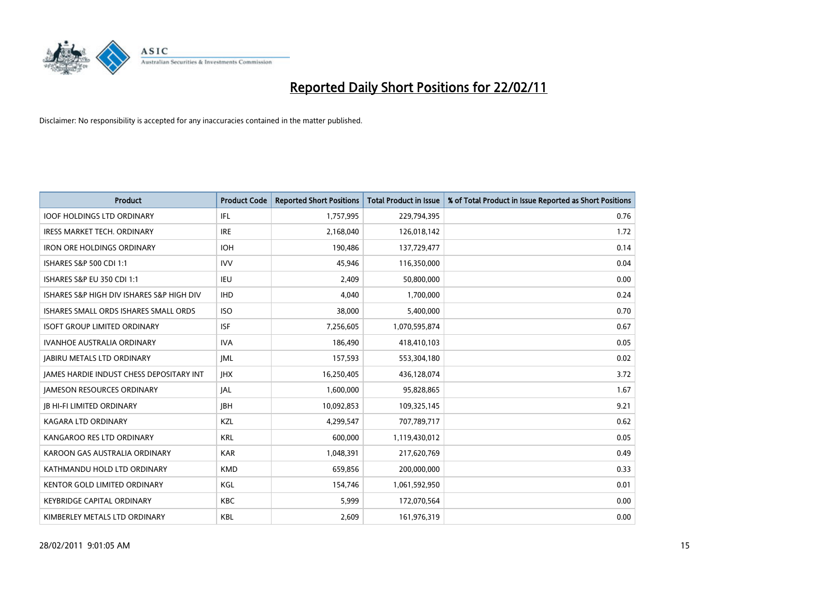

| Product                                         | <b>Product Code</b> | <b>Reported Short Positions</b> | <b>Total Product in Issue</b> | % of Total Product in Issue Reported as Short Positions |
|-------------------------------------------------|---------------------|---------------------------------|-------------------------------|---------------------------------------------------------|
| <b>IOOF HOLDINGS LTD ORDINARY</b>               | <b>IFL</b>          | 1,757,995                       | 229,794,395                   | 0.76                                                    |
| IRESS MARKET TECH. ORDINARY                     | <b>IRE</b>          | 2,168,040                       | 126,018,142                   | 1.72                                                    |
| <b>IRON ORE HOLDINGS ORDINARY</b>               | <b>IOH</b>          | 190,486                         | 137,729,477                   | 0.14                                                    |
| ISHARES S&P 500 CDI 1:1                         | <b>IVV</b>          | 45,946                          | 116,350,000                   | 0.04                                                    |
| <b>ISHARES S&amp;P EU 350 CDI 1:1</b>           | <b>IEU</b>          | 2,409                           | 50,800,000                    | 0.00                                                    |
| ISHARES S&P HIGH DIV ISHARES S&P HIGH DIV       | <b>IHD</b>          | 4.040                           | 1,700,000                     | 0.24                                                    |
| ISHARES SMALL ORDS ISHARES SMALL ORDS           | <b>ISO</b>          | 38,000                          | 5,400,000                     | 0.70                                                    |
| ISOFT GROUP LIMITED ORDINARY                    | <b>ISF</b>          | 7,256,605                       | 1,070,595,874                 | 0.67                                                    |
| IVANHOE AUSTRALIA ORDINARY                      | <b>IVA</b>          | 186,490                         | 418,410,103                   | 0.05                                                    |
| <b>IABIRU METALS LTD ORDINARY</b>               | IML                 | 157,593                         | 553,304,180                   | 0.02                                                    |
| <b>JAMES HARDIE INDUST CHESS DEPOSITARY INT</b> | <b>JHX</b>          | 16,250,405                      | 436,128,074                   | 3.72                                                    |
| <b>JAMESON RESOURCES ORDINARY</b>               | <b>JAL</b>          | 1,600,000                       | 95,828,865                    | 1.67                                                    |
| <b>JB HI-FI LIMITED ORDINARY</b>                | <b>JBH</b>          | 10,092,853                      | 109,325,145                   | 9.21                                                    |
| <b>KAGARA LTD ORDINARY</b>                      | KZL                 | 4,299,547                       | 707,789,717                   | 0.62                                                    |
| KANGAROO RES LTD ORDINARY                       | <b>KRL</b>          | 600,000                         | 1,119,430,012                 | 0.05                                                    |
| KAROON GAS AUSTRALIA ORDINARY                   | <b>KAR</b>          | 1,048,391                       | 217,620,769                   | 0.49                                                    |
| KATHMANDU HOLD LTD ORDINARY                     | <b>KMD</b>          | 659,856                         | 200,000,000                   | 0.33                                                    |
| KENTOR GOLD LIMITED ORDINARY                    | KGL                 | 154,746                         | 1,061,592,950                 | 0.01                                                    |
| <b>KEYBRIDGE CAPITAL ORDINARY</b>               | <b>KBC</b>          | 5,999                           | 172,070,564                   | 0.00                                                    |
| KIMBERLEY METALS LTD ORDINARY                   | <b>KBL</b>          | 2,609                           | 161,976,319                   | 0.00                                                    |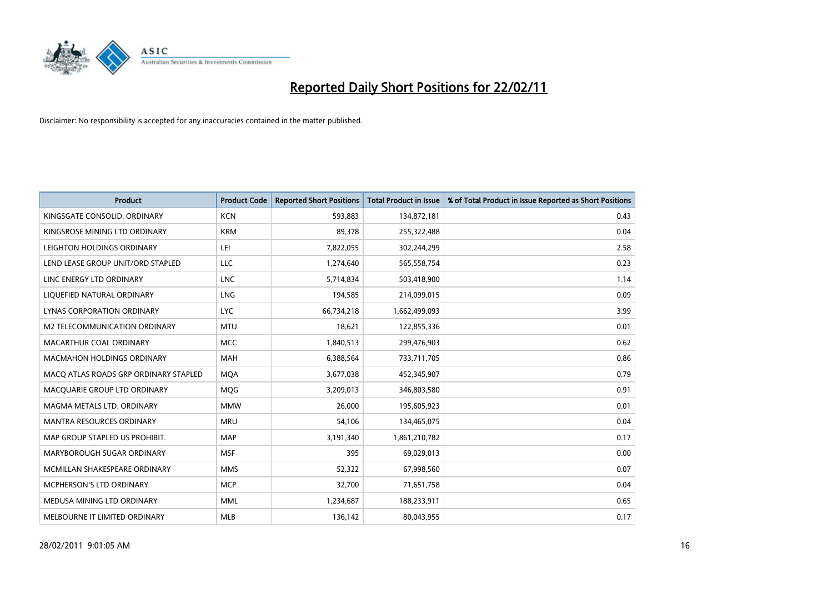

| <b>Product</b>                        | <b>Product Code</b> | <b>Reported Short Positions</b> | <b>Total Product in Issue</b> | % of Total Product in Issue Reported as Short Positions |
|---------------------------------------|---------------------|---------------------------------|-------------------------------|---------------------------------------------------------|
| KINGSGATE CONSOLID. ORDINARY          | <b>KCN</b>          | 593,883                         | 134,872,181                   | 0.43                                                    |
| KINGSROSE MINING LTD ORDINARY         | <b>KRM</b>          | 89,378                          | 255,322,488                   | 0.04                                                    |
| LEIGHTON HOLDINGS ORDINARY            | LEI                 | 7,822,055                       | 302,244,299                   | 2.58                                                    |
| LEND LEASE GROUP UNIT/ORD STAPLED     | LLC                 | 1,274,640                       | 565,558,754                   | 0.23                                                    |
| LINC ENERGY LTD ORDINARY              | <b>LNC</b>          | 5,714,834                       | 503,418,900                   | 1.14                                                    |
| LIQUEFIED NATURAL ORDINARY            | <b>LNG</b>          | 194,585                         | 214,099,015                   | 0.09                                                    |
| LYNAS CORPORATION ORDINARY            | <b>LYC</b>          | 66,734,218                      | 1,662,499,093                 | 3.99                                                    |
| M2 TELECOMMUNICATION ORDINARY         | <b>MTU</b>          | 18,621                          | 122,855,336                   | 0.01                                                    |
| MACARTHUR COAL ORDINARY               | <b>MCC</b>          | 1,840,513                       | 299,476,903                   | 0.62                                                    |
| <b>MACMAHON HOLDINGS ORDINARY</b>     | <b>MAH</b>          | 6,388,564                       | 733,711,705                   | 0.86                                                    |
| MACQ ATLAS ROADS GRP ORDINARY STAPLED | <b>MOA</b>          | 3,677,038                       | 452,345,907                   | 0.79                                                    |
| MACQUARIE GROUP LTD ORDINARY          | MQG                 | 3,209,013                       | 346,803,580                   | 0.91                                                    |
| MAGMA METALS LTD. ORDINARY            | <b>MMW</b>          | 26,000                          | 195,605,923                   | 0.01                                                    |
| <b>MANTRA RESOURCES ORDINARY</b>      | <b>MRU</b>          | 54,106                          | 134,465,075                   | 0.04                                                    |
| MAP GROUP STAPLED US PROHIBIT.        | <b>MAP</b>          | 3,191,340                       | 1,861,210,782                 | 0.17                                                    |
| MARYBOROUGH SUGAR ORDINARY            | <b>MSF</b>          | 395                             | 69,029,013                    | 0.00                                                    |
| MCMILLAN SHAKESPEARE ORDINARY         | <b>MMS</b>          | 52,322                          | 67,998,560                    | 0.07                                                    |
| MCPHERSON'S LTD ORDINARY              | <b>MCP</b>          | 32,700                          | 71,651,758                    | 0.04                                                    |
| MEDUSA MINING LTD ORDINARY            | <b>MML</b>          | 1,234,687                       | 188,233,911                   | 0.65                                                    |
| MELBOURNE IT LIMITED ORDINARY         | <b>MLB</b>          | 136,142                         | 80,043,955                    | 0.17                                                    |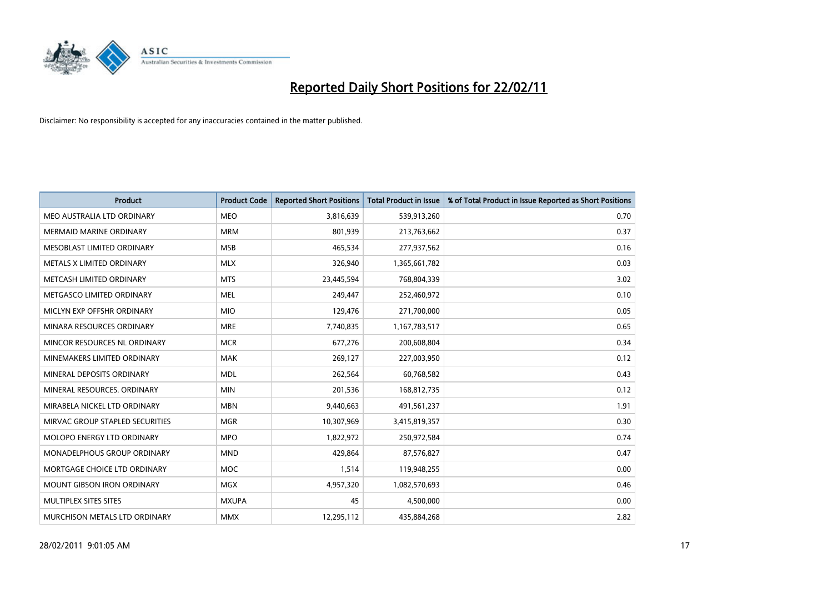

| Product                         | <b>Product Code</b> | <b>Reported Short Positions</b> | Total Product in Issue | % of Total Product in Issue Reported as Short Positions |
|---------------------------------|---------------------|---------------------------------|------------------------|---------------------------------------------------------|
| MEO AUSTRALIA LTD ORDINARY      | <b>MEO</b>          | 3,816,639                       | 539,913,260            | 0.70                                                    |
| <b>MERMAID MARINE ORDINARY</b>  | <b>MRM</b>          | 801,939                         | 213,763,662            | 0.37                                                    |
| MESOBLAST LIMITED ORDINARY      | <b>MSB</b>          | 465,534                         | 277,937,562            | 0.16                                                    |
| METALS X LIMITED ORDINARY       | <b>MLX</b>          | 326,940                         | 1,365,661,782          | 0.03                                                    |
| METCASH LIMITED ORDINARY        | <b>MTS</b>          | 23,445,594                      | 768,804,339            | 3.02                                                    |
| METGASCO LIMITED ORDINARY       | <b>MEL</b>          | 249,447                         | 252,460,972            | 0.10                                                    |
| MICLYN EXP OFFSHR ORDINARY      | <b>MIO</b>          | 129,476                         | 271,700,000            | 0.05                                                    |
| MINARA RESOURCES ORDINARY       | <b>MRE</b>          | 7,740,835                       | 1,167,783,517          | 0.65                                                    |
| MINCOR RESOURCES NL ORDINARY    | <b>MCR</b>          | 677,276                         | 200,608,804            | 0.34                                                    |
| MINEMAKERS LIMITED ORDINARY     | <b>MAK</b>          | 269,127                         | 227,003,950            | 0.12                                                    |
| MINERAL DEPOSITS ORDINARY       | <b>MDL</b>          | 262,564                         | 60,768,582             | 0.43                                                    |
| MINERAL RESOURCES, ORDINARY     | <b>MIN</b>          | 201,536                         | 168,812,735            | 0.12                                                    |
| MIRABELA NICKEL LTD ORDINARY    | <b>MBN</b>          | 9,440,663                       | 491,561,237            | 1.91                                                    |
| MIRVAC GROUP STAPLED SECURITIES | <b>MGR</b>          | 10,307,969                      | 3,415,819,357          | 0.30                                                    |
| MOLOPO ENERGY LTD ORDINARY      | <b>MPO</b>          | 1,822,972                       | 250,972,584            | 0.74                                                    |
| MONADELPHOUS GROUP ORDINARY     | <b>MND</b>          | 429.864                         | 87,576,827             | 0.47                                                    |
| MORTGAGE CHOICE LTD ORDINARY    | MOC                 | 1,514                           | 119,948,255            | 0.00                                                    |
| MOUNT GIBSON IRON ORDINARY      | <b>MGX</b>          | 4,957,320                       | 1,082,570,693          | 0.46                                                    |
| MULTIPLEX SITES SITES           | <b>MXUPA</b>        | 45                              | 4,500,000              | 0.00                                                    |
| MURCHISON METALS LTD ORDINARY   | <b>MMX</b>          | 12,295,112                      | 435,884,268            | 2.82                                                    |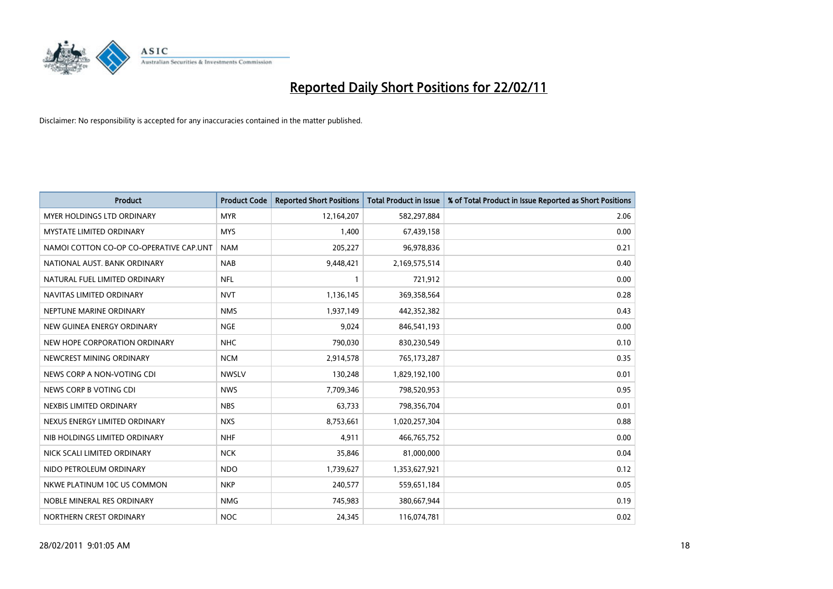

| Product                                 | <b>Product Code</b> | <b>Reported Short Positions</b> | <b>Total Product in Issue</b> | % of Total Product in Issue Reported as Short Positions |
|-----------------------------------------|---------------------|---------------------------------|-------------------------------|---------------------------------------------------------|
| <b>MYER HOLDINGS LTD ORDINARY</b>       | <b>MYR</b>          | 12,164,207                      | 582,297,884                   | 2.06                                                    |
| MYSTATE LIMITED ORDINARY                | <b>MYS</b>          | 1,400                           | 67,439,158                    | 0.00                                                    |
| NAMOI COTTON CO-OP CO-OPERATIVE CAP.UNT | <b>NAM</b>          | 205,227                         | 96,978,836                    | 0.21                                                    |
| NATIONAL AUST. BANK ORDINARY            | <b>NAB</b>          | 9,448,421                       | 2,169,575,514                 | 0.40                                                    |
| NATURAL FUEL LIMITED ORDINARY           | <b>NFL</b>          |                                 | 721,912                       | 0.00                                                    |
| NAVITAS LIMITED ORDINARY                | <b>NVT</b>          | 1,136,145                       | 369,358,564                   | 0.28                                                    |
| NEPTUNE MARINE ORDINARY                 | <b>NMS</b>          | 1,937,149                       | 442,352,382                   | 0.43                                                    |
| NEW GUINEA ENERGY ORDINARY              | <b>NGE</b>          | 9,024                           | 846,541,193                   | 0.00                                                    |
| NEW HOPE CORPORATION ORDINARY           | <b>NHC</b>          | 790,030                         | 830,230,549                   | 0.10                                                    |
| NEWCREST MINING ORDINARY                | <b>NCM</b>          | 2,914,578                       | 765,173,287                   | 0.35                                                    |
| NEWS CORP A NON-VOTING CDI              | <b>NWSLV</b>        | 130,248                         | 1,829,192,100                 | 0.01                                                    |
| NEWS CORP B VOTING CDI                  | <b>NWS</b>          | 7,709,346                       | 798,520,953                   | 0.95                                                    |
| NEXBIS LIMITED ORDINARY                 | <b>NBS</b>          | 63,733                          | 798,356,704                   | 0.01                                                    |
| NEXUS ENERGY LIMITED ORDINARY           | <b>NXS</b>          | 8,753,661                       | 1,020,257,304                 | 0.88                                                    |
| NIB HOLDINGS LIMITED ORDINARY           | <b>NHF</b>          | 4,911                           | 466,765,752                   | 0.00                                                    |
| NICK SCALI LIMITED ORDINARY             | <b>NCK</b>          | 35,846                          | 81,000,000                    | 0.04                                                    |
| NIDO PETROLEUM ORDINARY                 | <b>NDO</b>          | 1,739,627                       | 1,353,627,921                 | 0.12                                                    |
| NKWE PLATINUM 10C US COMMON             | <b>NKP</b>          | 240,577                         | 559,651,184                   | 0.05                                                    |
| NOBLE MINERAL RES ORDINARY              | <b>NMG</b>          | 745,983                         | 380,667,944                   | 0.19                                                    |
| NORTHERN CREST ORDINARY                 | <b>NOC</b>          | 24,345                          | 116,074,781                   | 0.02                                                    |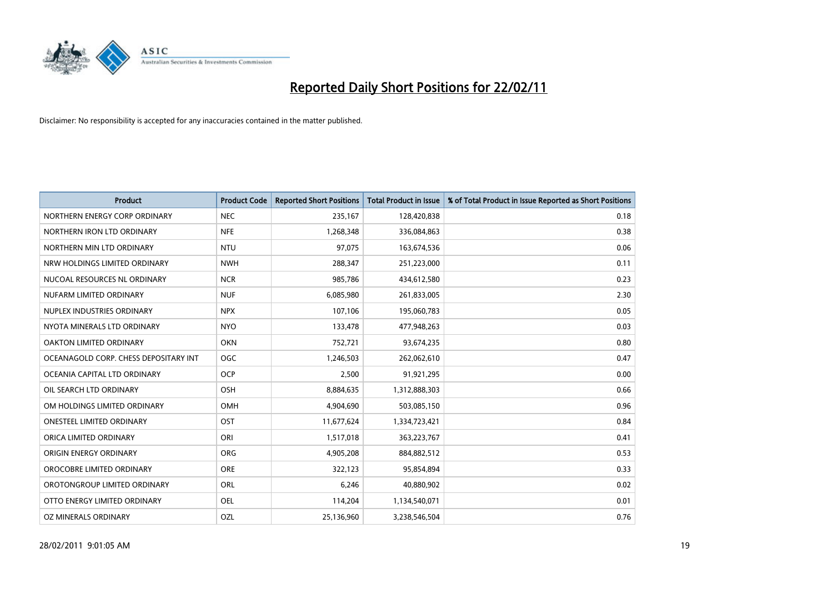

| <b>Product</b>                        | <b>Product Code</b> | <b>Reported Short Positions</b> | <b>Total Product in Issue</b> | % of Total Product in Issue Reported as Short Positions |
|---------------------------------------|---------------------|---------------------------------|-------------------------------|---------------------------------------------------------|
| NORTHERN ENERGY CORP ORDINARY         | <b>NEC</b>          | 235,167                         | 128,420,838                   | 0.18                                                    |
| NORTHERN IRON LTD ORDINARY            | <b>NFE</b>          | 1,268,348                       | 336,084,863                   | 0.38                                                    |
| NORTHERN MIN LTD ORDINARY             | <b>NTU</b>          | 97,075                          | 163,674,536                   | 0.06                                                    |
| NRW HOLDINGS LIMITED ORDINARY         | <b>NWH</b>          | 288,347                         | 251,223,000                   | 0.11                                                    |
| NUCOAL RESOURCES NL ORDINARY          | <b>NCR</b>          | 985,786                         | 434,612,580                   | 0.23                                                    |
| NUFARM LIMITED ORDINARY               | <b>NUF</b>          | 6,085,980                       | 261,833,005                   | 2.30                                                    |
| NUPLEX INDUSTRIES ORDINARY            | <b>NPX</b>          | 107,106                         | 195,060,783                   | 0.05                                                    |
| NYOTA MINERALS LTD ORDINARY           | <b>NYO</b>          | 133,478                         | 477,948,263                   | 0.03                                                    |
| OAKTON LIMITED ORDINARY               | <b>OKN</b>          | 752,721                         | 93,674,235                    | 0.80                                                    |
| OCEANAGOLD CORP. CHESS DEPOSITARY INT | <b>OGC</b>          | 1,246,503                       | 262,062,610                   | 0.47                                                    |
| OCEANIA CAPITAL LTD ORDINARY          | <b>OCP</b>          | 2,500                           | 91,921,295                    | 0.00                                                    |
| OIL SEARCH LTD ORDINARY               | OSH                 | 8,884,635                       | 1,312,888,303                 | 0.66                                                    |
| OM HOLDINGS LIMITED ORDINARY          | OMH                 | 4,904,690                       | 503,085,150                   | 0.96                                                    |
| <b>ONESTEEL LIMITED ORDINARY</b>      | OST                 | 11,677,624                      | 1,334,723,421                 | 0.84                                                    |
| ORICA LIMITED ORDINARY                | ORI                 | 1,517,018                       | 363,223,767                   | 0.41                                                    |
| ORIGIN ENERGY ORDINARY                | <b>ORG</b>          | 4,905,208                       | 884,882,512                   | 0.53                                                    |
| OROCOBRE LIMITED ORDINARY             | <b>ORE</b>          | 322,123                         | 95,854,894                    | 0.33                                                    |
| OROTONGROUP LIMITED ORDINARY          | <b>ORL</b>          | 6,246                           | 40,880,902                    | 0.02                                                    |
| OTTO ENERGY LIMITED ORDINARY          | <b>OEL</b>          | 114,204                         | 1,134,540,071                 | 0.01                                                    |
| OZ MINERALS ORDINARY                  | OZL                 | 25,136,960                      | 3,238,546,504                 | 0.76                                                    |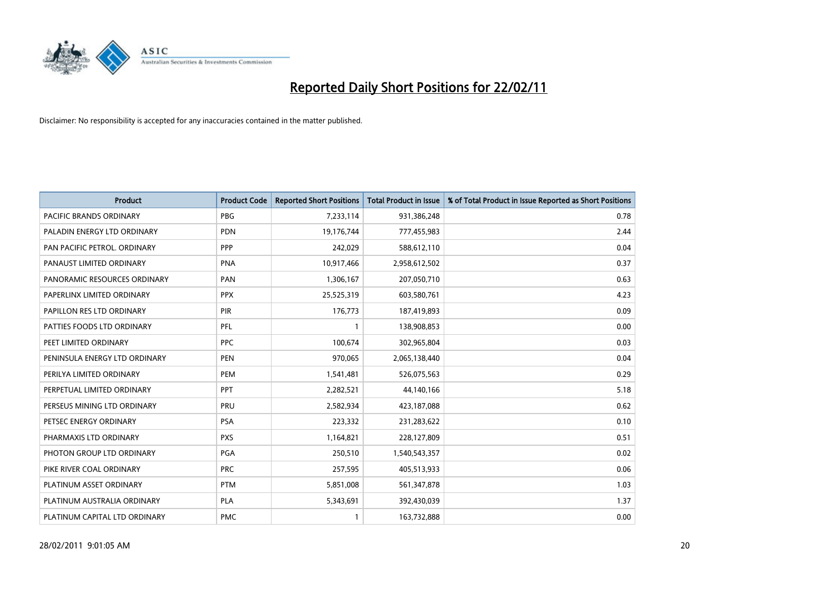

| <b>Product</b>                | <b>Product Code</b> | <b>Reported Short Positions</b> | Total Product in Issue | % of Total Product in Issue Reported as Short Positions |
|-------------------------------|---------------------|---------------------------------|------------------------|---------------------------------------------------------|
| PACIFIC BRANDS ORDINARY       | <b>PBG</b>          | 7,233,114                       | 931,386,248            | 0.78                                                    |
| PALADIN ENERGY LTD ORDINARY   | <b>PDN</b>          | 19,176,744                      | 777,455,983            | 2.44                                                    |
| PAN PACIFIC PETROL. ORDINARY  | PPP                 | 242,029                         | 588,612,110            | 0.04                                                    |
| PANAUST LIMITED ORDINARY      | <b>PNA</b>          | 10,917,466                      | 2,958,612,502          | 0.37                                                    |
| PANORAMIC RESOURCES ORDINARY  | PAN                 | 1,306,167                       | 207,050,710            | 0.63                                                    |
| PAPERLINX LIMITED ORDINARY    | <b>PPX</b>          | 25,525,319                      | 603,580,761            | 4.23                                                    |
| PAPILLON RES LTD ORDINARY     | PIR                 | 176,773                         | 187,419,893            | 0.09                                                    |
| PATTIES FOODS LTD ORDINARY    | PFL                 |                                 | 138,908,853            | 0.00                                                    |
| PEET LIMITED ORDINARY         | <b>PPC</b>          | 100,674                         | 302,965,804            | 0.03                                                    |
| PENINSULA ENERGY LTD ORDINARY | <b>PEN</b>          | 970,065                         | 2,065,138,440          | 0.04                                                    |
| PERILYA LIMITED ORDINARY      | PEM                 | 1,541,481                       | 526,075,563            | 0.29                                                    |
| PERPETUAL LIMITED ORDINARY    | PPT                 | 2,282,521                       | 44,140,166             | 5.18                                                    |
| PERSEUS MINING LTD ORDINARY   | PRU                 | 2,582,934                       | 423,187,088            | 0.62                                                    |
| PETSEC ENERGY ORDINARY        | <b>PSA</b>          | 223,332                         | 231,283,622            | 0.10                                                    |
| PHARMAXIS LTD ORDINARY        | <b>PXS</b>          | 1,164,821                       | 228,127,809            | 0.51                                                    |
| PHOTON GROUP LTD ORDINARY     | PGA                 | 250,510                         | 1,540,543,357          | 0.02                                                    |
| PIKE RIVER COAL ORDINARY      | <b>PRC</b>          | 257,595                         | 405,513,933            | 0.06                                                    |
| PLATINUM ASSET ORDINARY       | <b>PTM</b>          | 5,851,008                       | 561,347,878            | 1.03                                                    |
| PLATINUM AUSTRALIA ORDINARY   | PLA                 | 5,343,691                       | 392,430,039            | 1.37                                                    |
| PLATINUM CAPITAL LTD ORDINARY | <b>PMC</b>          |                                 | 163,732,888            | 0.00                                                    |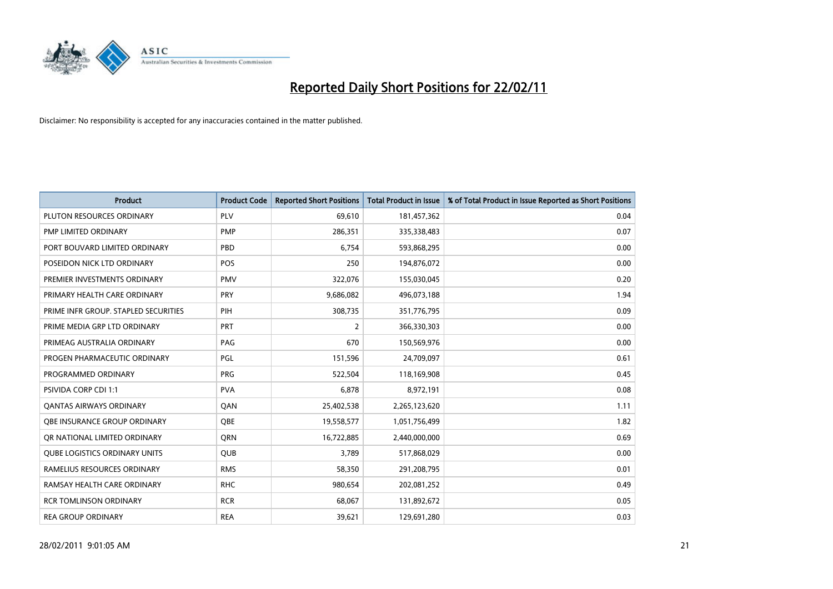

| <b>Product</b>                       | <b>Product Code</b> | <b>Reported Short Positions</b> | Total Product in Issue | % of Total Product in Issue Reported as Short Positions |
|--------------------------------------|---------------------|---------------------------------|------------------------|---------------------------------------------------------|
| PLUTON RESOURCES ORDINARY            | PLV                 | 69,610                          | 181,457,362            | 0.04                                                    |
| PMP LIMITED ORDINARY                 | <b>PMP</b>          | 286,351                         | 335,338,483            | 0.07                                                    |
| PORT BOUVARD LIMITED ORDINARY        | PBD                 | 6,754                           | 593,868,295            | 0.00                                                    |
| POSEIDON NICK LTD ORDINARY           | POS                 | 250                             | 194,876,072            | 0.00                                                    |
| PREMIER INVESTMENTS ORDINARY         | <b>PMV</b>          | 322,076                         | 155,030,045            | 0.20                                                    |
| PRIMARY HEALTH CARE ORDINARY         | PRY                 | 9,686,082                       | 496,073,188            | 1.94                                                    |
| PRIME INFR GROUP. STAPLED SECURITIES | PIH                 | 308,735                         | 351,776,795            | 0.09                                                    |
| PRIME MEDIA GRP LTD ORDINARY         | PRT                 | $\overline{2}$                  | 366,330,303            | 0.00                                                    |
| PRIMEAG AUSTRALIA ORDINARY           | PAG                 | 670                             | 150,569,976            | 0.00                                                    |
| PROGEN PHARMACEUTIC ORDINARY         | PGL                 | 151,596                         | 24,709,097             | 0.61                                                    |
| PROGRAMMED ORDINARY                  | <b>PRG</b>          | 522,504                         | 118,169,908            | 0.45                                                    |
| <b>PSIVIDA CORP CDI 1:1</b>          | <b>PVA</b>          | 6,878                           | 8,972,191              | 0.08                                                    |
| <b>QANTAS AIRWAYS ORDINARY</b>       | <b>OAN</b>          | 25,402,538                      | 2,265,123,620          | 1.11                                                    |
| OBE INSURANCE GROUP ORDINARY         | <b>OBE</b>          | 19,558,577                      | 1,051,756,499          | 1.82                                                    |
| OR NATIONAL LIMITED ORDINARY         | <b>ORN</b>          | 16,722,885                      | 2,440,000,000          | 0.69                                                    |
| <b>QUBE LOGISTICS ORDINARY UNITS</b> | <b>OUB</b>          | 3.789                           | 517,868,029            | 0.00                                                    |
| RAMELIUS RESOURCES ORDINARY          | <b>RMS</b>          | 58,350                          | 291,208,795            | 0.01                                                    |
| RAMSAY HEALTH CARE ORDINARY          | <b>RHC</b>          | 980,654                         | 202,081,252            | 0.49                                                    |
| <b>RCR TOMLINSON ORDINARY</b>        | <b>RCR</b>          | 68,067                          | 131,892,672            | 0.05                                                    |
| <b>REA GROUP ORDINARY</b>            | <b>REA</b>          | 39,621                          | 129,691,280            | 0.03                                                    |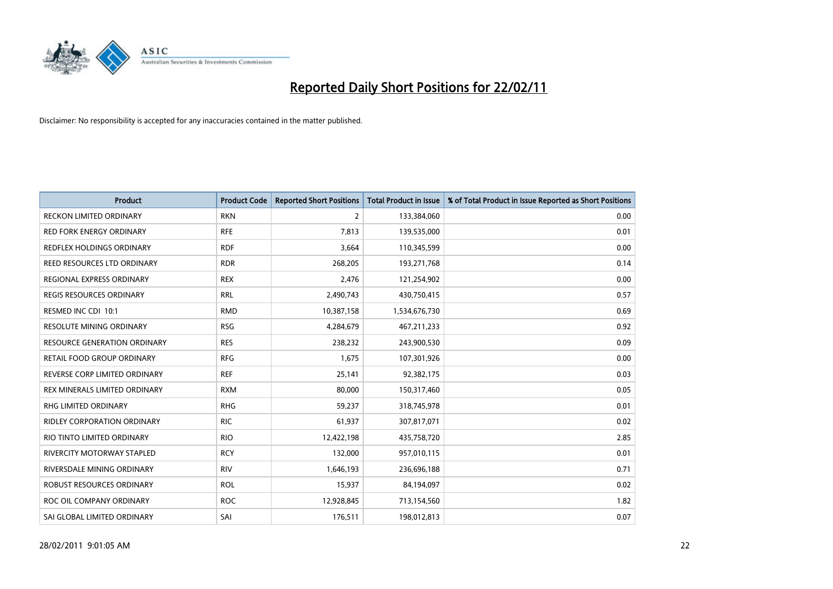

| <b>Product</b>                      | <b>Product Code</b> | <b>Reported Short Positions</b> | Total Product in Issue | % of Total Product in Issue Reported as Short Positions |
|-------------------------------------|---------------------|---------------------------------|------------------------|---------------------------------------------------------|
| <b>RECKON LIMITED ORDINARY</b>      | <b>RKN</b>          | 2                               | 133,384,060            | 0.00                                                    |
| <b>RED FORK ENERGY ORDINARY</b>     | <b>RFE</b>          | 7,813                           | 139,535,000            | 0.01                                                    |
| REDFLEX HOLDINGS ORDINARY           | <b>RDF</b>          | 3,664                           | 110,345,599            | 0.00                                                    |
| REED RESOURCES LTD ORDINARY         | <b>RDR</b>          | 268,205                         | 193,271,768            | 0.14                                                    |
| REGIONAL EXPRESS ORDINARY           | <b>REX</b>          | 2,476                           | 121,254,902            | 0.00                                                    |
| <b>REGIS RESOURCES ORDINARY</b>     | <b>RRL</b>          | 2,490,743                       | 430,750,415            | 0.57                                                    |
| RESMED INC CDI 10:1                 | <b>RMD</b>          | 10,387,158                      | 1,534,676,730          | 0.69                                                    |
| <b>RESOLUTE MINING ORDINARY</b>     | <b>RSG</b>          | 4,284,679                       | 467,211,233            | 0.92                                                    |
| <b>RESOURCE GENERATION ORDINARY</b> | <b>RES</b>          | 238,232                         | 243,900,530            | 0.09                                                    |
| <b>RETAIL FOOD GROUP ORDINARY</b>   | <b>RFG</b>          | 1,675                           | 107,301,926            | 0.00                                                    |
| REVERSE CORP LIMITED ORDINARY       | <b>REF</b>          | 25,141                          | 92,382,175             | 0.03                                                    |
| REX MINERALS LIMITED ORDINARY       | <b>RXM</b>          | 80,000                          | 150,317,460            | 0.05                                                    |
| RHG LIMITED ORDINARY                | <b>RHG</b>          | 59,237                          | 318,745,978            | 0.01                                                    |
| <b>RIDLEY CORPORATION ORDINARY</b>  | <b>RIC</b>          | 61,937                          | 307,817,071            | 0.02                                                    |
| RIO TINTO LIMITED ORDINARY          | <b>RIO</b>          | 12,422,198                      | 435,758,720            | 2.85                                                    |
| <b>RIVERCITY MOTORWAY STAPLED</b>   | <b>RCY</b>          | 132,000                         | 957,010,115            | 0.01                                                    |
| RIVERSDALE MINING ORDINARY          | <b>RIV</b>          | 1,646,193                       | 236,696,188            | 0.71                                                    |
| ROBUST RESOURCES ORDINARY           | <b>ROL</b>          | 15,937                          | 84,194,097             | 0.02                                                    |
| ROC OIL COMPANY ORDINARY            | <b>ROC</b>          | 12,928,845                      | 713,154,560            | 1.82                                                    |
| SAI GLOBAL LIMITED ORDINARY         | SAI                 | 176,511                         | 198,012,813            | 0.07                                                    |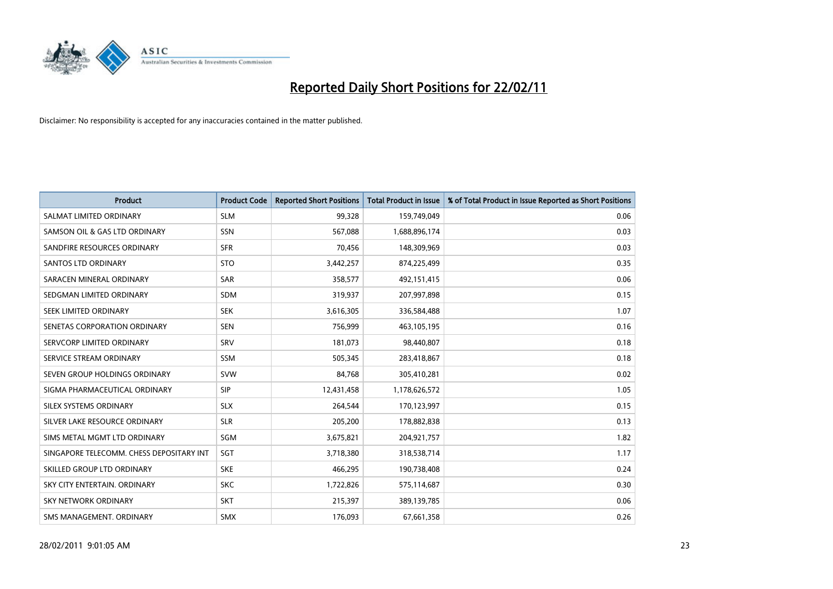

| Product                                  | <b>Product Code</b> | <b>Reported Short Positions</b> | <b>Total Product in Issue</b> | % of Total Product in Issue Reported as Short Positions |
|------------------------------------------|---------------------|---------------------------------|-------------------------------|---------------------------------------------------------|
| SALMAT LIMITED ORDINARY                  | <b>SLM</b>          | 99,328                          | 159,749,049                   | 0.06                                                    |
| SAMSON OIL & GAS LTD ORDINARY            | <b>SSN</b>          | 567,088                         | 1,688,896,174                 | 0.03                                                    |
| SANDFIRE RESOURCES ORDINARY              | <b>SFR</b>          | 70,456                          | 148,309,969                   | 0.03                                                    |
| <b>SANTOS LTD ORDINARY</b>               | <b>STO</b>          | 3,442,257                       | 874,225,499                   | 0.35                                                    |
| SARACEN MINERAL ORDINARY                 | <b>SAR</b>          | 358,577                         | 492,151,415                   | 0.06                                                    |
| SEDGMAN LIMITED ORDINARY                 | <b>SDM</b>          | 319,937                         | 207,997,898                   | 0.15                                                    |
| SEEK LIMITED ORDINARY                    | <b>SEK</b>          | 3,616,305                       | 336,584,488                   | 1.07                                                    |
| SENETAS CORPORATION ORDINARY             | <b>SEN</b>          | 756,999                         | 463,105,195                   | 0.16                                                    |
| SERVCORP LIMITED ORDINARY                | SRV                 | 181,073                         | 98,440,807                    | 0.18                                                    |
| SERVICE STREAM ORDINARY                  | <b>SSM</b>          | 505,345                         | 283,418,867                   | 0.18                                                    |
| SEVEN GROUP HOLDINGS ORDINARY            | <b>SVW</b>          | 84,768                          | 305,410,281                   | 0.02                                                    |
| SIGMA PHARMACEUTICAL ORDINARY            | <b>SIP</b>          | 12,431,458                      | 1,178,626,572                 | 1.05                                                    |
| SILEX SYSTEMS ORDINARY                   | <b>SLX</b>          | 264,544                         | 170,123,997                   | 0.15                                                    |
| SILVER LAKE RESOURCE ORDINARY            | <b>SLR</b>          | 205,200                         | 178,882,838                   | 0.13                                                    |
| SIMS METAL MGMT LTD ORDINARY             | SGM                 | 3,675,821                       | 204,921,757                   | 1.82                                                    |
| SINGAPORE TELECOMM. CHESS DEPOSITARY INT | SGT                 | 3,718,380                       | 318,538,714                   | 1.17                                                    |
| SKILLED GROUP LTD ORDINARY               | <b>SKE</b>          | 466,295                         | 190,738,408                   | 0.24                                                    |
| SKY CITY ENTERTAIN. ORDINARY             | <b>SKC</b>          | 1,722,826                       | 575,114,687                   | 0.30                                                    |
| SKY NETWORK ORDINARY                     | <b>SKT</b>          | 215,397                         | 389,139,785                   | 0.06                                                    |
| SMS MANAGEMENT. ORDINARY                 | SMX                 | 176,093                         | 67,661,358                    | 0.26                                                    |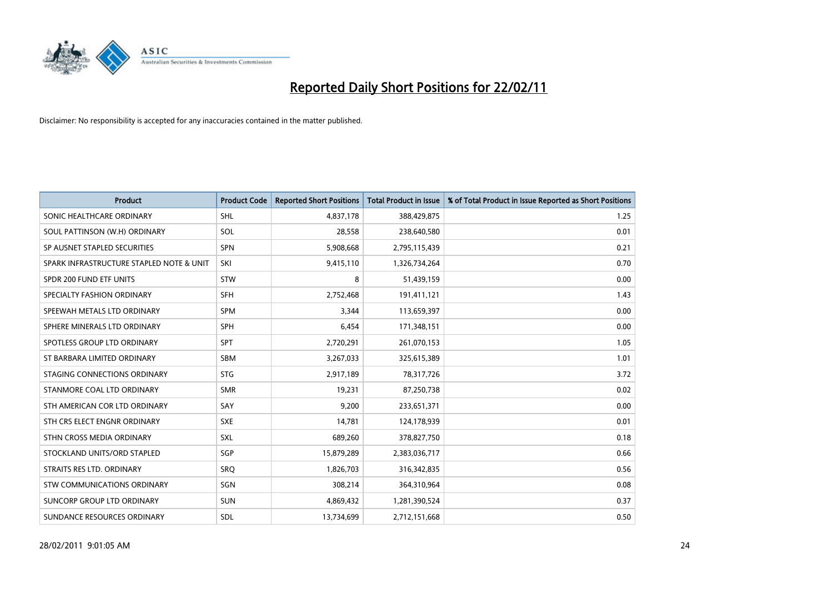

| Product                                  | <b>Product Code</b> | <b>Reported Short Positions</b> | <b>Total Product in Issue</b> | % of Total Product in Issue Reported as Short Positions |
|------------------------------------------|---------------------|---------------------------------|-------------------------------|---------------------------------------------------------|
| SONIC HEALTHCARE ORDINARY                | <b>SHL</b>          | 4,837,178                       | 388,429,875                   | 1.25                                                    |
| SOUL PATTINSON (W.H) ORDINARY            | SOL                 | 28,558                          | 238,640,580                   | 0.01                                                    |
| SP AUSNET STAPLED SECURITIES             | <b>SPN</b>          | 5,908,668                       | 2,795,115,439                 | 0.21                                                    |
| SPARK INFRASTRUCTURE STAPLED NOTE & UNIT | SKI                 | 9,415,110                       | 1,326,734,264                 | 0.70                                                    |
| SPDR 200 FUND ETF UNITS                  | <b>STW</b>          | 8                               | 51,439,159                    | 0.00                                                    |
| SPECIALTY FASHION ORDINARY               | <b>SFH</b>          | 2,752,468                       | 191,411,121                   | 1.43                                                    |
| SPEEWAH METALS LTD ORDINARY              | <b>SPM</b>          | 3,344                           | 113,659,397                   | 0.00                                                    |
| SPHERE MINERALS LTD ORDINARY             | <b>SPH</b>          | 6,454                           | 171,348,151                   | 0.00                                                    |
| SPOTLESS GROUP LTD ORDINARY              | <b>SPT</b>          | 2,720,291                       | 261,070,153                   | 1.05                                                    |
| ST BARBARA LIMITED ORDINARY              | <b>SBM</b>          | 3,267,033                       | 325,615,389                   | 1.01                                                    |
| STAGING CONNECTIONS ORDINARY             | <b>STG</b>          | 2,917,189                       | 78,317,726                    | 3.72                                                    |
| STANMORE COAL LTD ORDINARY               | <b>SMR</b>          | 19,231                          | 87,250,738                    | 0.02                                                    |
| STH AMERICAN COR LTD ORDINARY            | SAY                 | 9,200                           | 233,651,371                   | 0.00                                                    |
| STH CRS ELECT ENGNR ORDINARY             | <b>SXE</b>          | 14,781                          | 124,178,939                   | 0.01                                                    |
| STHN CROSS MEDIA ORDINARY                | <b>SXL</b>          | 689,260                         | 378,827,750                   | 0.18                                                    |
| STOCKLAND UNITS/ORD STAPLED              | SGP                 | 15,879,289                      | 2,383,036,717                 | 0.66                                                    |
| STRAITS RES LTD. ORDINARY                | SRQ                 | 1,826,703                       | 316, 342, 835                 | 0.56                                                    |
| STW COMMUNICATIONS ORDINARY              | SGN                 | 308,214                         | 364,310,964                   | 0.08                                                    |
| SUNCORP GROUP LTD ORDINARY               | <b>SUN</b>          | 4,869,432                       | 1,281,390,524                 | 0.37                                                    |
| SUNDANCE RESOURCES ORDINARY              | SDL                 | 13,734,699                      | 2,712,151,668                 | 0.50                                                    |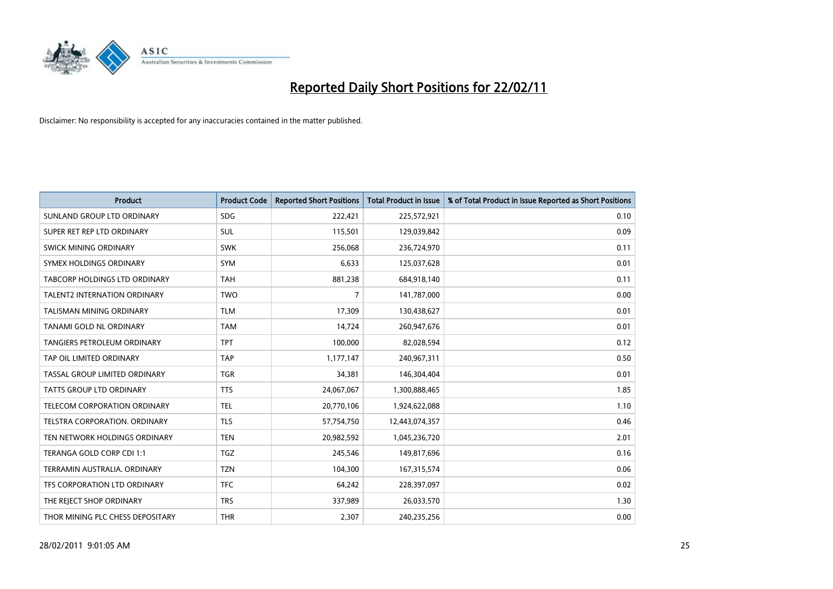

| <b>Product</b>                       | <b>Product Code</b> | <b>Reported Short Positions</b> | <b>Total Product in Issue</b> | % of Total Product in Issue Reported as Short Positions |
|--------------------------------------|---------------------|---------------------------------|-------------------------------|---------------------------------------------------------|
| SUNLAND GROUP LTD ORDINARY           | <b>SDG</b>          | 222,421                         | 225,572,921                   | 0.10                                                    |
| SUPER RET REP LTD ORDINARY           | SUL                 | 115,501                         | 129,039,842                   | 0.09                                                    |
| <b>SWICK MINING ORDINARY</b>         | <b>SWK</b>          | 256,068                         | 236,724,970                   | 0.11                                                    |
| SYMEX HOLDINGS ORDINARY              | <b>SYM</b>          | 6,633                           | 125,037,628                   | 0.01                                                    |
| <b>TABCORP HOLDINGS LTD ORDINARY</b> | <b>TAH</b>          | 881,238                         | 684,918,140                   | 0.11                                                    |
| <b>TALENT2 INTERNATION ORDINARY</b>  | <b>TWO</b>          | $\overline{7}$                  | 141,787,000                   | 0.00                                                    |
| TALISMAN MINING ORDINARY             | <b>TLM</b>          | 17,309                          | 130,438,627                   | 0.01                                                    |
| TANAMI GOLD NL ORDINARY              | <b>TAM</b>          | 14,724                          | 260,947,676                   | 0.01                                                    |
| TANGIERS PETROLEUM ORDINARY          | <b>TPT</b>          | 100,000                         | 82,028,594                    | 0.12                                                    |
| TAP OIL LIMITED ORDINARY             | <b>TAP</b>          | 1,177,147                       | 240,967,311                   | 0.50                                                    |
| TASSAL GROUP LIMITED ORDINARY        | <b>TGR</b>          | 34,381                          | 146,304,404                   | 0.01                                                    |
| TATTS GROUP LTD ORDINARY             | <b>TTS</b>          | 24,067,067                      | 1,300,888,465                 | 1.85                                                    |
| <b>TELECOM CORPORATION ORDINARY</b>  | <b>TEL</b>          | 20,770,106                      | 1,924,622,088                 | 1.10                                                    |
| <b>TELSTRA CORPORATION, ORDINARY</b> | <b>TLS</b>          | 57,754,750                      | 12,443,074,357                | 0.46                                                    |
| TEN NETWORK HOLDINGS ORDINARY        | <b>TEN</b>          | 20,982,592                      | 1,045,236,720                 | 2.01                                                    |
| TERANGA GOLD CORP CDI 1:1            | <b>TGZ</b>          | 245,546                         | 149,817,696                   | 0.16                                                    |
| TERRAMIN AUSTRALIA, ORDINARY         | <b>TZN</b>          | 104,300                         | 167,315,574                   | 0.06                                                    |
| TFS CORPORATION LTD ORDINARY         | <b>TFC</b>          | 64,242                          | 228,397,097                   | 0.02                                                    |
| THE REJECT SHOP ORDINARY             | <b>TRS</b>          | 337,989                         | 26,033,570                    | 1.30                                                    |
| THOR MINING PLC CHESS DEPOSITARY     | <b>THR</b>          | 2,307                           | 240,235,256                   | 0.00                                                    |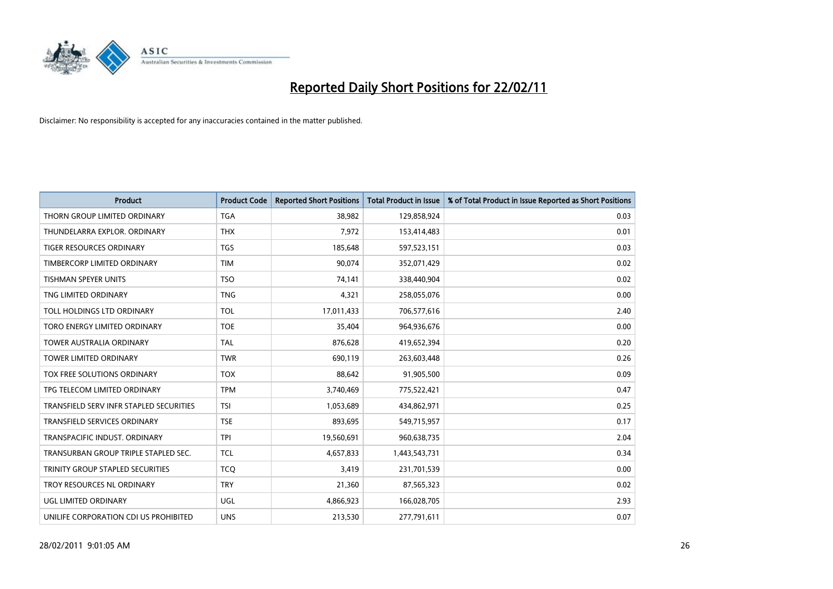

| <b>Product</b>                          | <b>Product Code</b> | <b>Reported Short Positions</b> | <b>Total Product in Issue</b> | % of Total Product in Issue Reported as Short Positions |
|-----------------------------------------|---------------------|---------------------------------|-------------------------------|---------------------------------------------------------|
| THORN GROUP LIMITED ORDINARY            | <b>TGA</b>          | 38,982                          | 129,858,924                   | 0.03                                                    |
| THUNDELARRA EXPLOR. ORDINARY            | <b>THX</b>          | 7,972                           | 153,414,483                   | 0.01                                                    |
| TIGER RESOURCES ORDINARY                | <b>TGS</b>          | 185,648                         | 597,523,151                   | 0.03                                                    |
| TIMBERCORP LIMITED ORDINARY             | <b>TIM</b>          | 90,074                          | 352,071,429                   | 0.02                                                    |
| <b>TISHMAN SPEYER UNITS</b>             | <b>TSO</b>          | 74,141                          | 338,440,904                   | 0.02                                                    |
| TNG LIMITED ORDINARY                    | <b>TNG</b>          | 4,321                           | 258,055,076                   | 0.00                                                    |
| TOLL HOLDINGS LTD ORDINARY              | <b>TOL</b>          | 17,011,433                      | 706,577,616                   | 2.40                                                    |
| TORO ENERGY LIMITED ORDINARY            | <b>TOE</b>          | 35,404                          | 964,936,676                   | 0.00                                                    |
| TOWER AUSTRALIA ORDINARY                | <b>TAL</b>          | 876,628                         | 419,652,394                   | 0.20                                                    |
| <b>TOWER LIMITED ORDINARY</b>           | <b>TWR</b>          | 690,119                         | 263,603,448                   | 0.26                                                    |
| TOX FREE SOLUTIONS ORDINARY             | <b>TOX</b>          | 88,642                          | 91,905,500                    | 0.09                                                    |
| TPG TELECOM LIMITED ORDINARY            | <b>TPM</b>          | 3,740,469                       | 775,522,421                   | 0.47                                                    |
| TRANSFIELD SERV INFR STAPLED SECURITIES | <b>TSI</b>          | 1,053,689                       | 434,862,971                   | 0.25                                                    |
| <b>TRANSFIELD SERVICES ORDINARY</b>     | <b>TSE</b>          | 893,695                         | 549,715,957                   | 0.17                                                    |
| TRANSPACIFIC INDUST, ORDINARY           | <b>TPI</b>          | 19,560,691                      | 960,638,735                   | 2.04                                                    |
| TRANSURBAN GROUP TRIPLE STAPLED SEC.    | <b>TCL</b>          | 4,657,833                       | 1,443,543,731                 | 0.34                                                    |
| TRINITY GROUP STAPLED SECURITIES        | <b>TCQ</b>          | 3,419                           | 231,701,539                   | 0.00                                                    |
| TROY RESOURCES NL ORDINARY              | <b>TRY</b>          | 21,360                          | 87,565,323                    | 0.02                                                    |
| <b>UGL LIMITED ORDINARY</b>             | <b>UGL</b>          | 4,866,923                       | 166,028,705                   | 2.93                                                    |
| UNILIFE CORPORATION CDI US PROHIBITED   | <b>UNS</b>          | 213,530                         | 277,791,611                   | 0.07                                                    |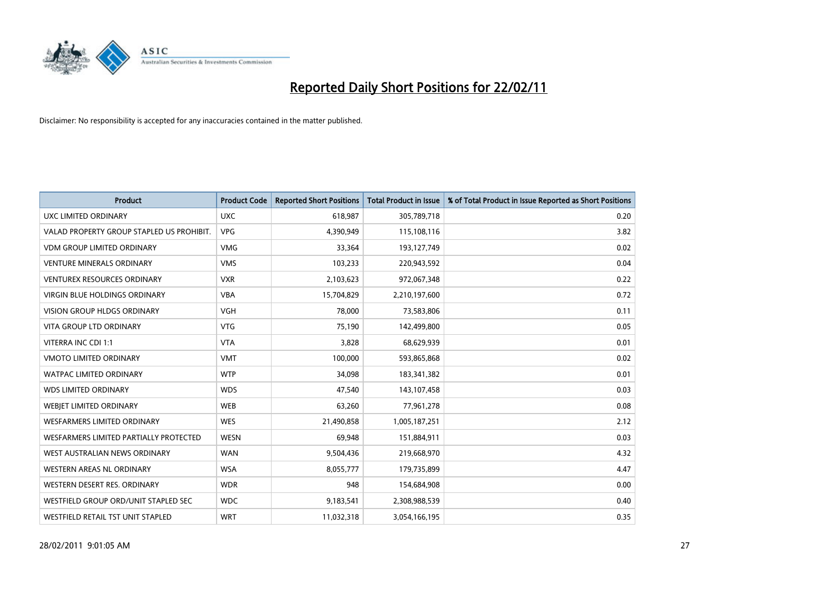

| Product                                   | <b>Product Code</b> | <b>Reported Short Positions</b> | <b>Total Product in Issue</b> | % of Total Product in Issue Reported as Short Positions |
|-------------------------------------------|---------------------|---------------------------------|-------------------------------|---------------------------------------------------------|
| UXC LIMITED ORDINARY                      | <b>UXC</b>          | 618,987                         | 305,789,718                   | 0.20                                                    |
| VALAD PROPERTY GROUP STAPLED US PROHIBIT. | <b>VPG</b>          | 4,390,949                       | 115,108,116                   | 3.82                                                    |
| <b>VDM GROUP LIMITED ORDINARY</b>         | <b>VMG</b>          | 33,364                          | 193,127,749                   | 0.02                                                    |
| <b>VENTURE MINERALS ORDINARY</b>          | <b>VMS</b>          | 103,233                         | 220,943,592                   | 0.04                                                    |
| <b>VENTUREX RESOURCES ORDINARY</b>        | <b>VXR</b>          | 2,103,623                       | 972,067,348                   | 0.22                                                    |
| <b>VIRGIN BLUE HOLDINGS ORDINARY</b>      | <b>VBA</b>          | 15,704,829                      | 2,210,197,600                 | 0.72                                                    |
| VISION GROUP HLDGS ORDINARY               | <b>VGH</b>          | 78,000                          | 73,583,806                    | 0.11                                                    |
| <b>VITA GROUP LTD ORDINARY</b>            | <b>VTG</b>          | 75,190                          | 142,499,800                   | 0.05                                                    |
| VITERRA INC CDI 1:1                       | <b>VTA</b>          | 3,828                           | 68,629,939                    | 0.01                                                    |
| <b>VMOTO LIMITED ORDINARY</b>             | <b>VMT</b>          | 100,000                         | 593,865,868                   | 0.02                                                    |
| <b>WATPAC LIMITED ORDINARY</b>            | <b>WTP</b>          | 34,098                          | 183,341,382                   | 0.01                                                    |
| <b>WDS LIMITED ORDINARY</b>               | <b>WDS</b>          | 47,540                          | 143,107,458                   | 0.03                                                    |
| WEBIET LIMITED ORDINARY                   | <b>WEB</b>          | 63,260                          | 77,961,278                    | 0.08                                                    |
| <b>WESFARMERS LIMITED ORDINARY</b>        | <b>WES</b>          | 21,490,858                      | 1,005,187,251                 | 2.12                                                    |
| WESFARMERS LIMITED PARTIALLY PROTECTED    | <b>WESN</b>         | 69,948                          | 151,884,911                   | 0.03                                                    |
| WEST AUSTRALIAN NEWS ORDINARY             | <b>WAN</b>          | 9,504,436                       | 219,668,970                   | 4.32                                                    |
| WESTERN AREAS NL ORDINARY                 | <b>WSA</b>          | 8,055,777                       | 179,735,899                   | 4.47                                                    |
| WESTERN DESERT RES. ORDINARY              | <b>WDR</b>          | 948                             | 154,684,908                   | 0.00                                                    |
| WESTFIELD GROUP ORD/UNIT STAPLED SEC      | <b>WDC</b>          | 9,183,541                       | 2,308,988,539                 | 0.40                                                    |
| WESTFIELD RETAIL TST UNIT STAPLED         | <b>WRT</b>          | 11,032,318                      | 3,054,166,195                 | 0.35                                                    |